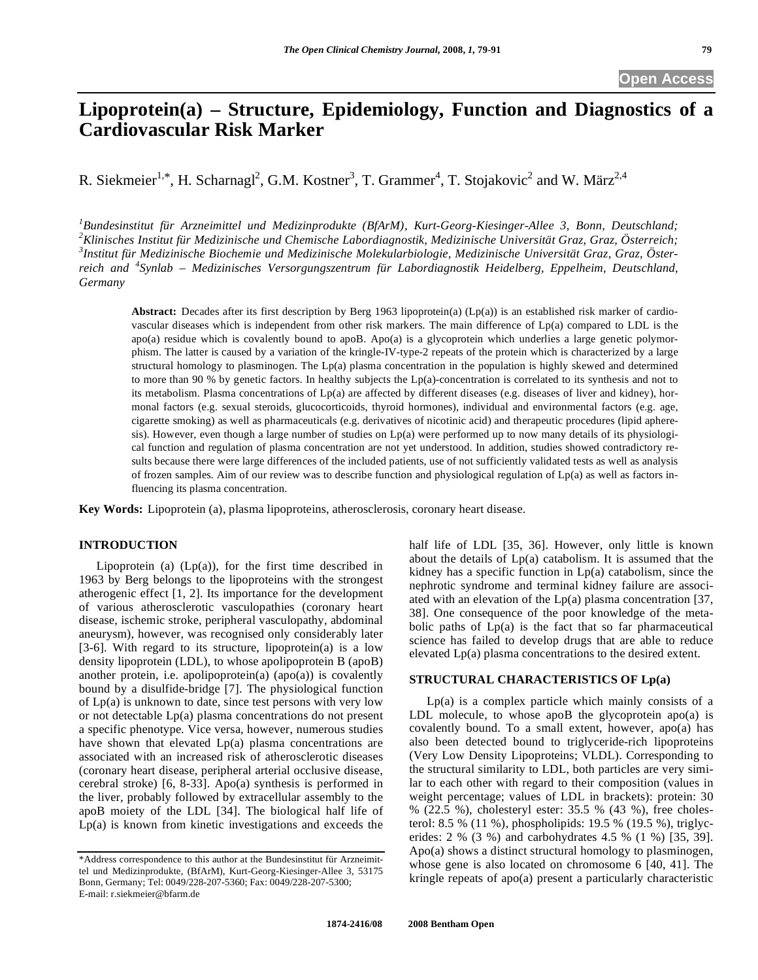# **Lipoprotein(a) – Structure, Epidemiology, Function and Diagnostics of a Cardiovascular Risk Marker**

R. Siekmeier<sup>1,\*</sup>, H. Scharnagl<sup>2</sup>, G.M. Kostner<sup>3</sup>, T. Grammer<sup>4</sup>, T. Stojakovic<sup>2</sup> and W. März<sup>2,4</sup>

*1 Bundesinstitut für Arzneimittel und Medizinprodukte (BfArM), Kurt-Georg-Kiesinger-Allee 3, Bonn, Deutschland; 2 Klinisches Institut für Medizinische und Chemische Labordiagnostik, Medizinische Universität Graz, Graz, Österreich; 3 Institut für Medizinische Biochemie und Medizinische Molekularbiologie, Medizinische Universität Graz, Graz, Österreich and <sup>4</sup> Synlab – Medizinisches Versorgungszentrum für Labordiagnostik Heidelberg, Eppelheim, Deutschland, Germany* 

Abstract: Decades after its first description by Berg 1963 lipoprotein(a) (Lp(a)) is an established risk marker of cardiovascular diseases which is independent from other risk markers. The main difference of Lp(a) compared to LDL is the apo(a) residue which is covalently bound to apoB. Apo(a) is a glycoprotein which underlies a large genetic polymorphism. The latter is caused by a variation of the kringle-IV-type-2 repeats of the protein which is characterized by a large structural homology to plasminogen. The Lp(a) plasma concentration in the population is highly skewed and determined to more than 90 % by genetic factors. In healthy subjects the Lp(a)-concentration is correlated to its synthesis and not to its metabolism. Plasma concentrations of Lp(a) are affected by different diseases (e.g. diseases of liver and kidney), hormonal factors (e.g. sexual steroids, glucocorticoids, thyroid hormones), individual and environmental factors (e.g. age, cigarette smoking) as well as pharmaceuticals (e.g. derivatives of nicotinic acid) and therapeutic procedures (lipid apheresis). However, even though a large number of studies on Lp(a) were performed up to now many details of its physiological function and regulation of plasma concentration are not yet understood. In addition, studies showed contradictory results because there were large differences of the included patients, use of not sufficiently validated tests as well as analysis of frozen samples. Aim of our review was to describe function and physiological regulation of Lp(a) as well as factors influencing its plasma concentration.

**Key Words:** Lipoprotein (a), plasma lipoproteins, atherosclerosis, coronary heart disease.

# **INTRODUCTION**

Lipoprotein (a)  $(Lp(a))$ , for the first time described in 1963 by Berg belongs to the lipoproteins with the strongest atherogenic effect [1, 2]. Its importance for the development of various atherosclerotic vasculopathies (coronary heart disease, ischemic stroke, peripheral vasculopathy, abdominal aneurysm), however, was recognised only considerably later [3-6]. With regard to its structure, lipoprotein(a) is a low density lipoprotein (LDL), to whose apolipoprotein B (apoB) another protein, i.e. apolipoprotein(a)  $(apo(a))$  is covalently bound by a disulfide-bridge [7]. The physiological function of Lp(a) is unknown to date, since test persons with very low or not detectable Lp(a) plasma concentrations do not present a specific phenotype. Vice versa, however, numerous studies have shown that elevated Lp(a) plasma concentrations are associated with an increased risk of atherosclerotic diseases (coronary heart disease, peripheral arterial occlusive disease, cerebral stroke) [6, 8-33]. Apo(a) synthesis is performed in the liver, probably followed by extracellular assembly to the apoB moiety of the LDL [34]. The biological half life of Lp(a) is known from kinetic investigations and exceeds the

half life of LDL [35, 36]. However, only little is known about the details of  $Lp(a)$  catabolism. It is assumed that the kidney has a specific function in  $Lp(a)$  catabolism, since the nephrotic syndrome and terminal kidney failure are associated with an elevation of the Lp(a) plasma concentration [37, 38]. One consequence of the poor knowledge of the metabolic paths of  $Lp(a)$  is the fact that so far pharmaceutical science has failed to develop drugs that are able to reduce elevated Lp(a) plasma concentrations to the desired extent.

# **STRUCTURAL CHARACTERISTICS OF Lp(a)**

 Lp(a) is a complex particle which mainly consists of a LDL molecule, to whose apoB the glycoprotein apo $(a)$  is covalently bound. To a small extent, however, apo(a) has also been detected bound to triglyceride-rich lipoproteins (Very Low Density Lipoproteins; VLDL). Corresponding to the structural similarity to LDL, both particles are very similar to each other with regard to their composition (values in weight percentage; values of LDL in brackets): protein: 30 % (22.5 %), cholesteryl ester: 35.5 % (43 %), free cholesterol: 8.5 % (11 %), phospholipids: 19.5 % (19.5 %), triglycerides: 2 % (3 %) and carbohydrates 4.5 % (1 %) [35, 39]. Apo(a) shows a distinct structural homology to plasminogen, whose gene is also located on chromosome 6 [40, 41]. The kringle repeats of apo(a) present a particularly characteristic

<sup>\*</sup>Address correspondence to this author at the Bundesinstitut für Arzneimittel und Medizinprodukte, (BfArM), Kurt-Georg-Kiesinger-Allee 3, 53175 Bonn, Germany; Tel: 0049/228-207-5360; Fax: 0049/228-207-5300; E-mail: r.siekmeier@bfarm.de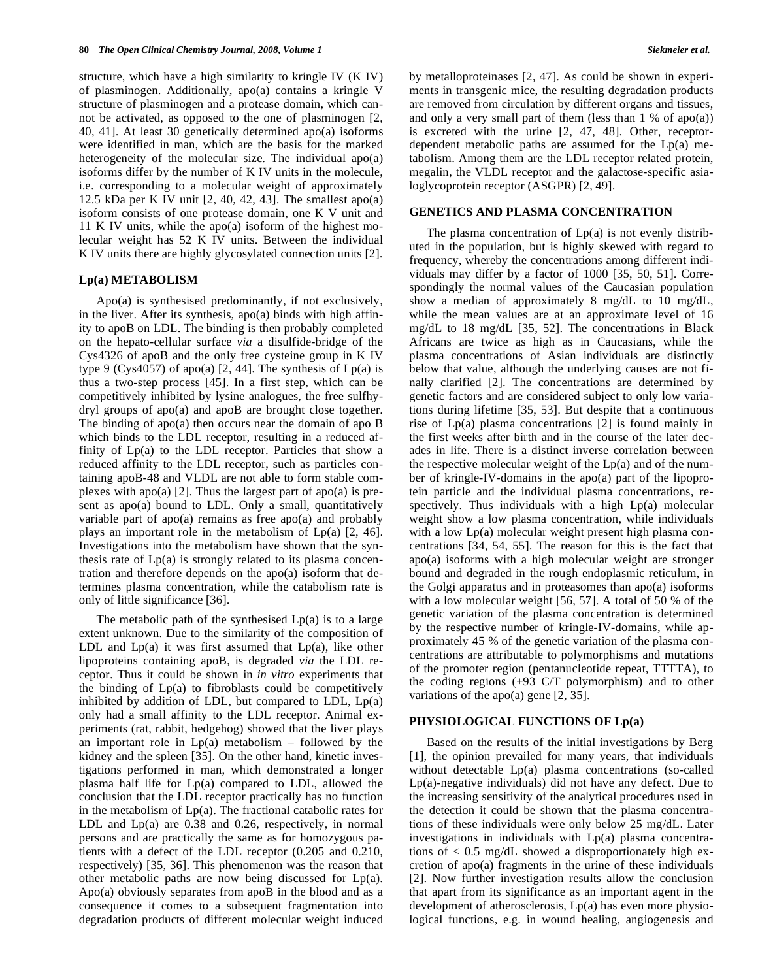structure, which have a high similarity to kringle IV (K IV) of plasminogen. Additionally, apo(a) contains a kringle V structure of plasminogen and a protease domain, which cannot be activated, as opposed to the one of plasminogen [2, 40, 41]. At least 30 genetically determined apo(a) isoforms were identified in man, which are the basis for the marked heterogeneity of the molecular size. The individual apo(a) isoforms differ by the number of K IV units in the molecule, i.e. corresponding to a molecular weight of approximately 12.5 kDa per K IV unit [2, 40, 42, 43]. The smallest apo(a) isoform consists of one protease domain, one K V unit and 11 K IV units, while the apo(a) isoform of the highest molecular weight has 52 K IV units. Between the individual K IV units there are highly glycosylated connection units [2].

### **Lp(a) METABOLISM**

 Apo(a) is synthesised predominantly, if not exclusively, in the liver. After its synthesis, apo(a) binds with high affinity to apoB on LDL. The binding is then probably completed on the hepato-cellular surface *via* a disulfide-bridge of the Cys4326 of apoB and the only free cysteine group in K IV type 9 (Cys4057) of apo(a) [2, 44]. The synthesis of  $Lp(a)$  is thus a two-step process [45]. In a first step, which can be competitively inhibited by lysine analogues, the free sulfhydryl groups of apo(a) and apoB are brought close together. The binding of apo(a) then occurs near the domain of apo B which binds to the LDL receptor, resulting in a reduced affinity of Lp(a) to the LDL receptor. Particles that show a reduced affinity to the LDL receptor, such as particles containing apoB-48 and VLDL are not able to form stable complexes with apo(a) [2]. Thus the largest part of apo(a) is present as apo(a) bound to LDL. Only a small, quantitatively variable part of apo(a) remains as free apo(a) and probably plays an important role in the metabolism of Lp(a) [2, 46]. Investigations into the metabolism have shown that the synthesis rate of  $Lp(a)$  is strongly related to its plasma concentration and therefore depends on the apo(a) isoform that determines plasma concentration, while the catabolism rate is only of little significance [36].

The metabolic path of the synthesised  $Lp(a)$  is to a large extent unknown. Due to the similarity of the composition of LDL and  $Lp(a)$  it was first assumed that  $Lp(a)$ , like other lipoproteins containing apoB, is degraded *via* the LDL receptor. Thus it could be shown in *in vitro* experiments that the binding of Lp(a) to fibroblasts could be competitively inhibited by addition of LDL, but compared to LDL,  $Lp(a)$ only had a small affinity to the LDL receptor. Animal experiments (rat, rabbit, hedgehog) showed that the liver plays an important role in  $Lp(a)$  metabolism – followed by the kidney and the spleen [35]. On the other hand, kinetic investigations performed in man, which demonstrated a longer plasma half life for Lp(a) compared to LDL, allowed the conclusion that the LDL receptor practically has no function in the metabolism of  $Lp(a)$ . The fractional catabolic rates for LDL and  $Lp(a)$  are 0.38 and 0.26, respectively, in normal persons and are practically the same as for homozygous patients with a defect of the LDL receptor (0.205 and 0.210, respectively) [35, 36]. This phenomenon was the reason that other metabolic paths are now being discussed for Lp(a). Apo(a) obviously separates from apoB in the blood and as a consequence it comes to a subsequent fragmentation into degradation products of different molecular weight induced

by metalloproteinases [2, 47]. As could be shown in experiments in transgenic mice, the resulting degradation products are removed from circulation by different organs and tissues, and only a very small part of them (less than  $1\%$  of apo(a)) is excreted with the urine [2, 47, 48]. Other, receptordependent metabolic paths are assumed for the Lp(a) metabolism. Among them are the LDL receptor related protein, megalin, the VLDL receptor and the galactose-specific asialoglycoprotein receptor (ASGPR) [2, 49].

### **GENETICS AND PLASMA CONCENTRATION**

The plasma concentration of  $Lp(a)$  is not evenly distributed in the population, but is highly skewed with regard to frequency, whereby the concentrations among different individuals may differ by a factor of 1000 [35, 50, 51]. Correspondingly the normal values of the Caucasian population show a median of approximately 8 mg/dL to 10 mg/dL, while the mean values are at an approximate level of 16 mg/dL to 18 mg/dL [35, 52]. The concentrations in Black Africans are twice as high as in Caucasians, while the plasma concentrations of Asian individuals are distinctly below that value, although the underlying causes are not finally clarified [2]. The concentrations are determined by genetic factors and are considered subject to only low variations during lifetime [35, 53]. But despite that a continuous rise of Lp(a) plasma concentrations [2] is found mainly in the first weeks after birth and in the course of the later decades in life. There is a distinct inverse correlation between the respective molecular weight of the  $Lp(a)$  and of the number of kringle-IV-domains in the apo(a) part of the lipoprotein particle and the individual plasma concentrations, respectively. Thus individuals with a high Lp(a) molecular weight show a low plasma concentration, while individuals with a low  $Lp(a)$  molecular weight present high plasma concentrations [34, 54, 55]. The reason for this is the fact that apo(a) isoforms with a high molecular weight are stronger bound and degraded in the rough endoplasmic reticulum, in the Golgi apparatus and in proteasomes than apo(a) isoforms with a low molecular weight [56, 57]. A total of 50 % of the genetic variation of the plasma concentration is determined by the respective number of kringle-IV-domains, while approximately 45 % of the genetic variation of the plasma concentrations are attributable to polymorphisms and mutations of the promoter region (pentanucleotide repeat, TTTTA), to the coding regions (+93 C/T polymorphism) and to other variations of the apo(a) gene [2, 35].

# **PHYSIOLOGICAL FUNCTIONS OF Lp(a)**

 Based on the results of the initial investigations by Berg [1], the opinion prevailed for many years, that individuals without detectable Lp(a) plasma concentrations (so-called Lp(a)-negative individuals) did not have any defect. Due to the increasing sensitivity of the analytical procedures used in the detection it could be shown that the plasma concentrations of these individuals were only below 25 mg/dL. Later investigations in individuals with Lp(a) plasma concentrations of  $< 0.5$  mg/dL showed a disproportionately high excretion of apo(a) fragments in the urine of these individuals [2]. Now further investigation results allow the conclusion that apart from its significance as an important agent in the development of atherosclerosis, Lp(a) has even more physiological functions, e.g. in wound healing, angiogenesis and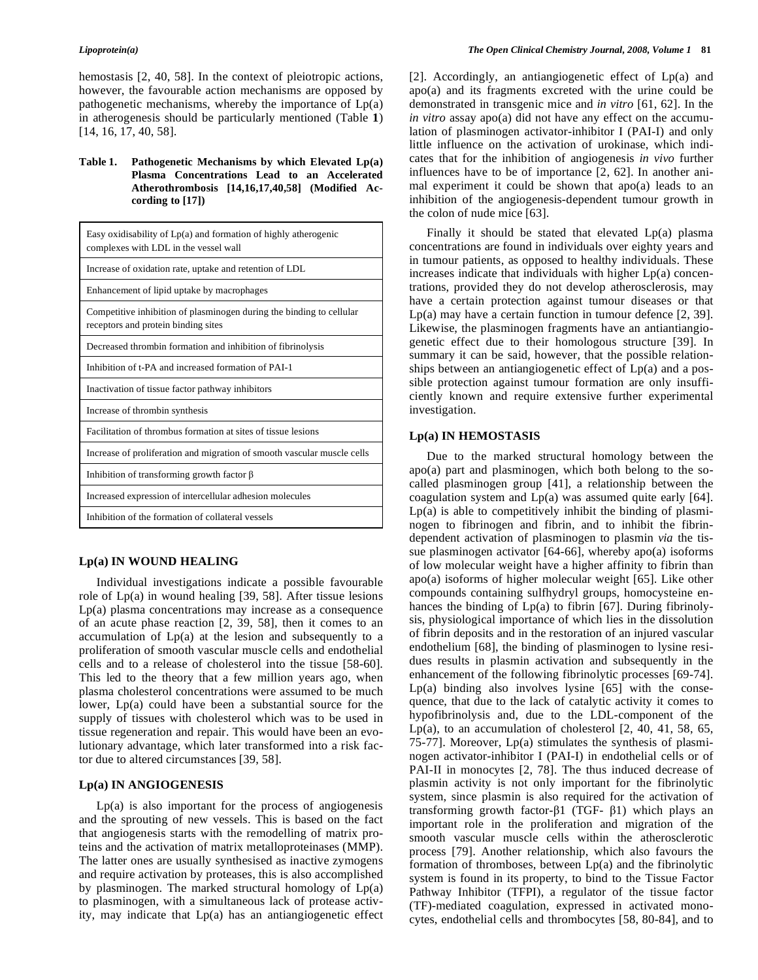hemostasis [2, 40, 58]. In the context of pleiotropic actions, however, the favourable action mechanisms are opposed by pathogenetic mechanisms, whereby the importance of Lp(a) in atherogenesis should be particularly mentioned (Table **1**) [14, 16, 17, 40, 58].

# **Table 1. Pathogenetic Mechanisms by which Elevated Lp(a) Plasma Concentrations Lead to an Accelerated Atherothrombosis [14,16,17,40,58] (Modified According to [17])**

| Easy oxidisability of $Lp(a)$ and formation of highly atherogenic<br>complexes with LDL in the vessel wall  |
|-------------------------------------------------------------------------------------------------------------|
| Increase of oxidation rate, uptake and retention of LDL                                                     |
| Enhancement of lipid uptake by macrophages                                                                  |
| Competitive inhibition of plasminogen during the binding to cellular<br>receptors and protein binding sites |
| Decreased thrombin formation and inhibition of fibrinolysis                                                 |
| Inhibition of t-PA and increased formation of PAI-1                                                         |
| Inactivation of tissue factor pathway inhibitors                                                            |
| Increase of thrombin synthesis                                                                              |
| Facilitation of thrombus formation at sites of tissue lesions                                               |
| Increase of proliferation and migration of smooth vascular muscle cells                                     |
| Inhibition of transforming growth factor $\beta$                                                            |
| Increased expression of intercellular adhesion molecules                                                    |
| Inhibition of the formation of collateral vessels                                                           |

# **Lp(a) IN WOUND HEALING**

 Individual investigations indicate a possible favourable role of Lp(a) in wound healing [39, 58]. After tissue lesions Lp(a) plasma concentrations may increase as a consequence of an acute phase reaction [2, 39, 58], then it comes to an accumulation of Lp(a) at the lesion and subsequently to a proliferation of smooth vascular muscle cells and endothelial cells and to a release of cholesterol into the tissue [58-60]. This led to the theory that a few million years ago, when plasma cholesterol concentrations were assumed to be much lower, Lp(a) could have been a substantial source for the supply of tissues with cholesterol which was to be used in tissue regeneration and repair. This would have been an evolutionary advantage, which later transformed into a risk factor due to altered circumstances [39, 58].

# **Lp(a) IN ANGIOGENESIS**

 $Lp(a)$  is also important for the process of angiogenesis and the sprouting of new vessels. This is based on the fact that angiogenesis starts with the remodelling of matrix proteins and the activation of matrix metalloproteinases (MMP). The latter ones are usually synthesised as inactive zymogens and require activation by proteases, this is also accomplished by plasminogen. The marked structural homology of  $Lp(a)$ to plasminogen, with a simultaneous lack of protease activity, may indicate that Lp(a) has an antiangiogenetic effect [2]. Accordingly, an antiangiogenetic effect of Lp(a) and apo(a) and its fragments excreted with the urine could be demonstrated in transgenic mice and *in vitro* [61, 62]. In the *in vitro* assay apo(a) did not have any effect on the accumulation of plasminogen activator-inhibitor I (PAI-I) and only little influence on the activation of urokinase, which indicates that for the inhibition of angiogenesis *in vivo* further influences have to be of importance [2, 62]. In another animal experiment it could be shown that apo(a) leads to an inhibition of the angiogenesis-dependent tumour growth in the colon of nude mice [63].

 Finally it should be stated that elevated Lp(a) plasma concentrations are found in individuals over eighty years and in tumour patients, as opposed to healthy individuals. These increases indicate that individuals with higher Lp(a) concentrations, provided they do not develop atherosclerosis, may have a certain protection against tumour diseases or that Lp(a) may have a certain function in tumour defence [2, 39]. Likewise, the plasminogen fragments have an antiantiangiogenetic effect due to their homologous structure [39]. In summary it can be said, however, that the possible relationships between an antiangiogenetic effect of Lp(a) and a possible protection against tumour formation are only insufficiently known and require extensive further experimental investigation.

# **Lp(a) IN HEMOSTASIS**

 Due to the marked structural homology between the apo(a) part and plasminogen, which both belong to the socalled plasminogen group [41], a relationship between the coagulation system and Lp(a) was assumed quite early [64].  $Lp(a)$  is able to competitively inhibit the binding of plasminogen to fibrinogen and fibrin, and to inhibit the fibrindependent activation of plasminogen to plasmin *via* the tissue plasminogen activator  $[64-66]$ , whereby apo(a) isoforms of low molecular weight have a higher affinity to fibrin than apo(a) isoforms of higher molecular weight [65]. Like other compounds containing sulfhydryl groups, homocysteine enhances the binding of Lp(a) to fibrin [67]. During fibrinolysis, physiological importance of which lies in the dissolution of fibrin deposits and in the restoration of an injured vascular endothelium [68], the binding of plasminogen to lysine residues results in plasmin activation and subsequently in the enhancement of the following fibrinolytic processes [69-74].  $Lp(a)$  binding also involves lysine  $[65]$  with the consequence, that due to the lack of catalytic activity it comes to hypofibrinolysis and, due to the LDL-component of the Lp(a), to an accumulation of cholesterol  $[2, 40, 41, 58, 65,$ 75-77]. Moreover, Lp(a) stimulates the synthesis of plasminogen activator-inhibitor I (PAI-I) in endothelial cells or of PAI-II in monocytes [2, 78]. The thus induced decrease of plasmin activity is not only important for the fibrinolytic system, since plasmin is also required for the activation of transforming growth factor- $\beta$ 1 (TGF-  $\beta$ 1) which plays an important role in the proliferation and migration of the smooth vascular muscle cells within the atherosclerotic process [79]. Another relationship, which also favours the formation of thromboses, between Lp(a) and the fibrinolytic system is found in its property, to bind to the Tissue Factor Pathway Inhibitor (TFPI), a regulator of the tissue factor (TF)-mediated coagulation, expressed in activated monocytes, endothelial cells and thrombocytes [58, 80-84], and to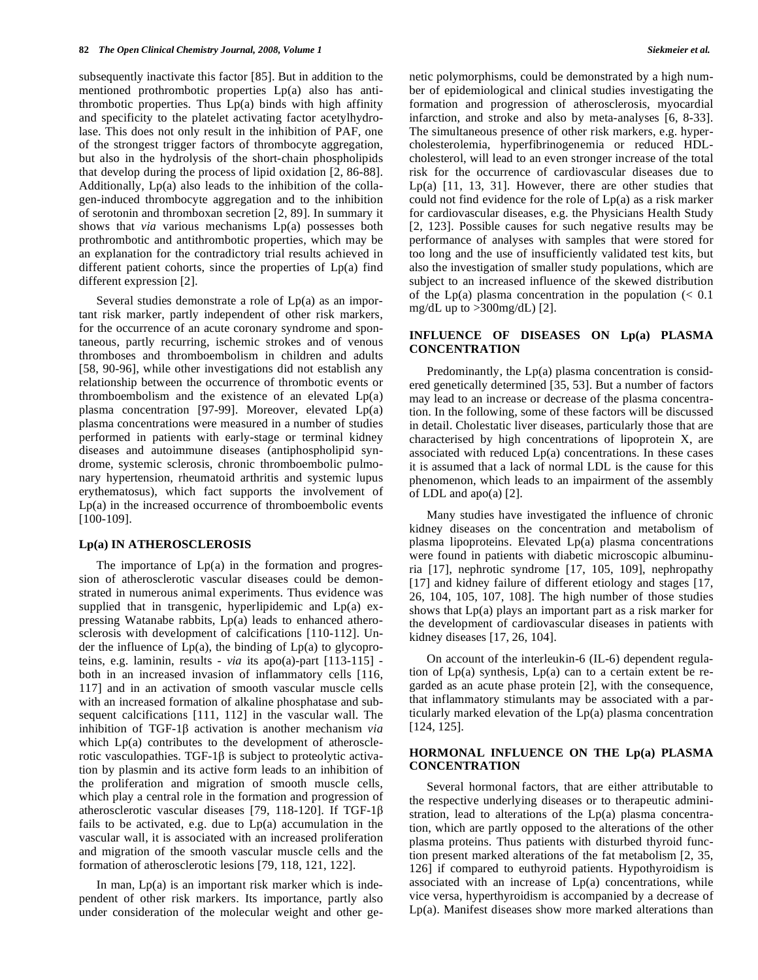subsequently inactivate this factor [85]. But in addition to the mentioned prothrombotic properties Lp(a) also has antithrombotic properties. Thus  $Lp(a)$  binds with high affinity and specificity to the platelet activating factor acetylhydrolase. This does not only result in the inhibition of PAF, one of the strongest trigger factors of thrombocyte aggregation, but also in the hydrolysis of the short-chain phospholipids that develop during the process of lipid oxidation [2, 86-88]. Additionally, Lp(a) also leads to the inhibition of the collagen-induced thrombocyte aggregation and to the inhibition of serotonin and thromboxan secretion [2, 89]. In summary it shows that *via* various mechanisms Lp(a) possesses both prothrombotic and antithrombotic properties, which may be an explanation for the contradictory trial results achieved in different patient cohorts, since the properties of Lp(a) find different expression [2].

 Several studies demonstrate a role of Lp(a) as an important risk marker, partly independent of other risk markers, for the occurrence of an acute coronary syndrome and spontaneous, partly recurring, ischemic strokes and of venous thromboses and thromboembolism in children and adults [58, 90-96], while other investigations did not establish any relationship between the occurrence of thrombotic events or thromboembolism and the existence of an elevated  $Lp(a)$ plasma concentration [97-99]. Moreover, elevated Lp(a) plasma concentrations were measured in a number of studies performed in patients with early-stage or terminal kidney diseases and autoimmune diseases (antiphospholipid syndrome, systemic sclerosis, chronic thromboembolic pulmonary hypertension, rheumatoid arthritis and systemic lupus erythematosus), which fact supports the involvement of Lp(a) in the increased occurrence of thromboembolic events [100-109].

### **Lp(a) IN ATHEROSCLEROSIS**

The importance of  $Lp(a)$  in the formation and progression of atherosclerotic vascular diseases could be demonstrated in numerous animal experiments. Thus evidence was supplied that in transgenic, hyperlipidemic and Lp(a) expressing Watanabe rabbits, Lp(a) leads to enhanced atherosclerosis with development of calcifications [110-112]. Under the influence of  $Lp(a)$ , the binding of  $Lp(a)$  to glycoproteins, e.g. laminin, results - *via* its apo(a)-part [113-115] both in an increased invasion of inflammatory cells [116, 117] and in an activation of smooth vascular muscle cells with an increased formation of alkaline phosphatase and subsequent calcifications [111, 112] in the vascular wall. The inhibition of TGF-1 $\beta$  activation is another mechanism *via* which Lp(a) contributes to the development of atherosclerotic vasculopathies. TGF-1 $\beta$  is subject to proteolytic activation by plasmin and its active form leads to an inhibition of the proliferation and migration of smooth muscle cells, which play a central role in the formation and progression of atherosclerotic vascular diseases [79, 118-120]. If TGF-1 fails to be activated, e.g. due to  $Lp(a)$  accumulation in the vascular wall, it is associated with an increased proliferation and migration of the smooth vascular muscle cells and the formation of atherosclerotic lesions [79, 118, 121, 122].

In man,  $Lp(a)$  is an important risk marker which is independent of other risk markers. Its importance, partly also under consideration of the molecular weight and other genetic polymorphisms, could be demonstrated by a high number of epidemiological and clinical studies investigating the formation and progression of atherosclerosis, myocardial infarction, and stroke and also by meta-analyses [6, 8-33]. The simultaneous presence of other risk markers, e.g. hypercholesterolemia, hyperfibrinogenemia or reduced HDLcholesterol, will lead to an even stronger increase of the total risk for the occurrence of cardiovascular diseases due to Lp(a) [11, 13, 31]. However, there are other studies that could not find evidence for the role of Lp(a) as a risk marker for cardiovascular diseases, e.g. the Physicians Health Study [2, 123]. Possible causes for such negative results may be performance of analyses with samples that were stored for too long and the use of insufficiently validated test kits, but also the investigation of smaller study populations, which are subject to an increased influence of the skewed distribution of the Lp(a) plasma concentration in the population  $\langle 0.1 \rangle$ mg/dL up to  $>300$ mg/dL) [2].

# **INFLUENCE OF DISEASES ON Lp(a) PLASMA CONCENTRATION**

 Predominantly, the Lp(a) plasma concentration is considered genetically determined [35, 53]. But a number of factors may lead to an increase or decrease of the plasma concentration. In the following, some of these factors will be discussed in detail. Cholestatic liver diseases, particularly those that are characterised by high concentrations of lipoprotein X, are associated with reduced  $Lp(a)$  concentrations. In these cases it is assumed that a lack of normal LDL is the cause for this phenomenon, which leads to an impairment of the assembly of LDL and apo(a) [2].

 Many studies have investigated the influence of chronic kidney diseases on the concentration and metabolism of plasma lipoproteins. Elevated Lp(a) plasma concentrations were found in patients with diabetic microscopic albuminuria [17], nephrotic syndrome [17, 105, 109], nephropathy [17] and kidney failure of different etiology and stages [17, 26, 104, 105, 107, 108]. The high number of those studies shows that  $Lp(a)$  plays an important part as a risk marker for the development of cardiovascular diseases in patients with kidney diseases [17, 26, 104].

 On account of the interleukin-6 (IL-6) dependent regulation of Lp(a) synthesis, Lp(a) can to a certain extent be regarded as an acute phase protein [2], with the consequence, that inflammatory stimulants may be associated with a particularly marked elevation of the Lp(a) plasma concentration [124, 125].

# **HORMONAL INFLUENCE ON THE Lp(a) PLASMA CONCENTRATION**

 Several hormonal factors, that are either attributable to the respective underlying diseases or to therapeutic administration, lead to alterations of the Lp(a) plasma concentration, which are partly opposed to the alterations of the other plasma proteins. Thus patients with disturbed thyroid function present marked alterations of the fat metabolism [2, 35, 126] if compared to euthyroid patients. Hypothyroidism is associated with an increase of Lp(a) concentrations, while vice versa, hyperthyroidism is accompanied by a decrease of Lp(a). Manifest diseases show more marked alterations than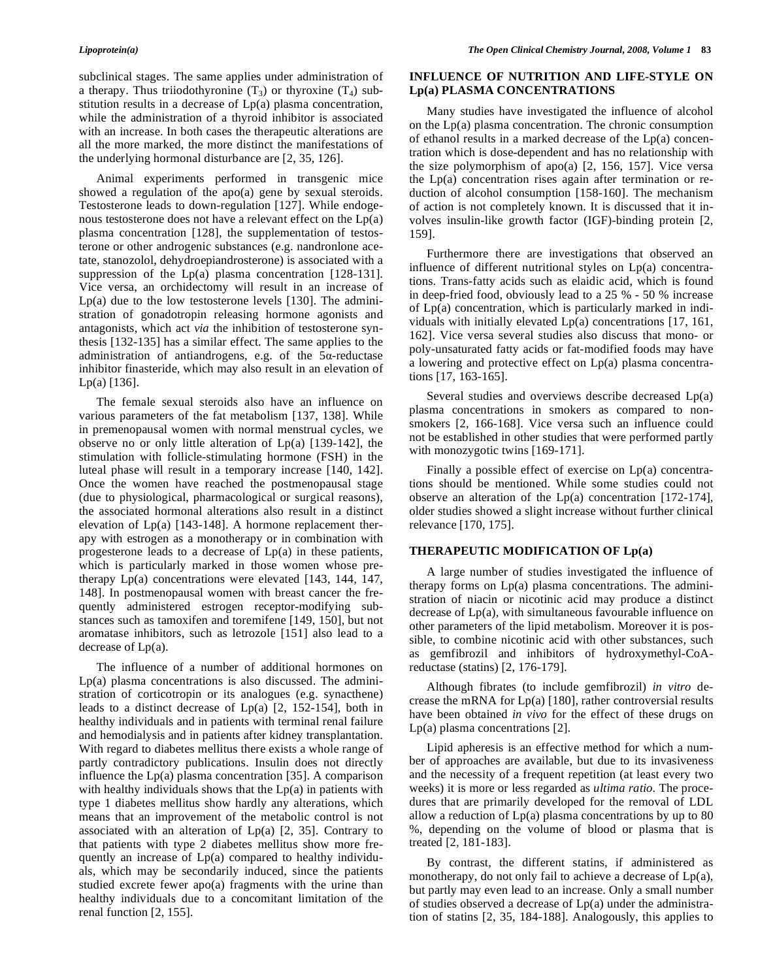subclinical stages. The same applies under administration of a therapy. Thus triiodothyronine  $(T_3)$  or thyroxine  $(T_4)$  substitution results in a decrease of Lp(a) plasma concentration, while the administration of a thyroid inhibitor is associated with an increase. In both cases the therapeutic alterations are all the more marked, the more distinct the manifestations of the underlying hormonal disturbance are [2, 35, 126].

 Animal experiments performed in transgenic mice showed a regulation of the apo(a) gene by sexual steroids. Testosterone leads to down-regulation [127]. While endogenous testosterone does not have a relevant effect on the Lp(a) plasma concentration [128], the supplementation of testosterone or other androgenic substances (e.g. nandronlone acetate, stanozolol, dehydroepiandrosterone) is associated with a suppression of the  $Lp(a)$  plasma concentration [128-131]. Vice versa, an orchidectomy will result in an increase of  $Lp(a)$  due to the low testosterone levels [130]. The administration of gonadotropin releasing hormone agonists and antagonists, which act *via* the inhibition of testosterone synthesis [132-135] has a similar effect. The same applies to the administration of antiandrogens, e.g. of the  $5\alpha$ -reductase inhibitor finasteride, which may also result in an elevation of Lp(a) [136].

 The female sexual steroids also have an influence on various parameters of the fat metabolism [137, 138]. While in premenopausal women with normal menstrual cycles, we observe no or only little alteration of Lp(a) [139-142], the stimulation with follicle-stimulating hormone (FSH) in the luteal phase will result in a temporary increase [140, 142]. Once the women have reached the postmenopausal stage (due to physiological, pharmacological or surgical reasons), the associated hormonal alterations also result in a distinct elevation of  $Lp(a)$  [143-148]. A hormone replacement therapy with estrogen as a monotherapy or in combination with progesterone leads to a decrease of Lp(a) in these patients, which is particularly marked in those women whose pretherapy Lp(a) concentrations were elevated [143, 144, 147, 148]. In postmenopausal women with breast cancer the frequently administered estrogen receptor-modifying substances such as tamoxifen and toremifene [149, 150], but not aromatase inhibitors, such as letrozole [151] also lead to a decrease of Lp(a).

 The influence of a number of additional hormones on Lp(a) plasma concentrations is also discussed. The administration of corticotropin or its analogues (e.g. synacthene) leads to a distinct decrease of Lp(a) [2, 152-154], both in healthy individuals and in patients with terminal renal failure and hemodialysis and in patients after kidney transplantation. With regard to diabetes mellitus there exists a whole range of partly contradictory publications. Insulin does not directly influence the  $Lp(a)$  plasma concentration [35]. A comparison with healthy individuals shows that the  $Lp(a)$  in patients with type 1 diabetes mellitus show hardly any alterations, which means that an improvement of the metabolic control is not associated with an alteration of  $Lp(a)$  [2, 35]. Contrary to that patients with type 2 diabetes mellitus show more frequently an increase of Lp(a) compared to healthy individuals, which may be secondarily induced, since the patients studied excrete fewer apo(a) fragments with the urine than healthy individuals due to a concomitant limitation of the renal function [2, 155].

# **INFLUENCE OF NUTRITION AND LIFE-STYLE ON Lp(a) PLASMA CONCENTRATIONS**

 Many studies have investigated the influence of alcohol on the Lp(a) plasma concentration. The chronic consumption of ethanol results in a marked decrease of the Lp(a) concentration which is dose-dependent and has no relationship with the size polymorphism of apo(a)  $[2, 156, 157]$ . Vice versa the Lp(a) concentration rises again after termination or reduction of alcohol consumption [158-160]. The mechanism of action is not completely known. It is discussed that it involves insulin-like growth factor (IGF)-binding protein [2, 159].

 Furthermore there are investigations that observed an influence of different nutritional styles on Lp(a) concentrations. Trans-fatty acids such as elaidic acid, which is found in deep-fried food, obviously lead to a 25 % - 50 % increase of Lp(a) concentration, which is particularly marked in individuals with initially elevated Lp(a) concentrations [17, 161, 162]. Vice versa several studies also discuss that mono- or poly-unsaturated fatty acids or fat-modified foods may have a lowering and protective effect on Lp(a) plasma concentrations [17, 163-165].

 Several studies and overviews describe decreased Lp(a) plasma concentrations in smokers as compared to nonsmokers [2, 166-168]. Vice versa such an influence could not be established in other studies that were performed partly with monozygotic twins [169-171].

 Finally a possible effect of exercise on Lp(a) concentrations should be mentioned. While some studies could not observe an alteration of the Lp(a) concentration [172-174], older studies showed a slight increase without further clinical relevance [170, 175].

# **THERAPEUTIC MODIFICATION OF Lp(a)**

 A large number of studies investigated the influence of therapy forms on Lp(a) plasma concentrations. The administration of niacin or nicotinic acid may produce a distinct decrease of Lp(a), with simultaneous favourable influence on other parameters of the lipid metabolism. Moreover it is possible, to combine nicotinic acid with other substances, such as gemfibrozil and inhibitors of hydroxymethyl-CoAreductase (statins) [2, 176-179].

 Although fibrates (to include gemfibrozil) *in vitro* decrease the mRNA for  $Lp(a)$  [180], rather controversial results have been obtained *in vivo* for the effect of these drugs on  $Lp(a)$  plasma concentrations [2].

 Lipid apheresis is an effective method for which a number of approaches are available, but due to its invasiveness and the necessity of a frequent repetition (at least every two weeks) it is more or less regarded as *ultima ratio*. The procedures that are primarily developed for the removal of LDL allow a reduction of  $Lp(a)$  plasma concentrations by up to 80 %, depending on the volume of blood or plasma that is treated [2, 181-183].

 By contrast, the different statins, if administered as monotherapy, do not only fail to achieve a decrease of Lp(a), but partly may even lead to an increase. Only a small number of studies observed a decrease of Lp(a) under the administration of statins [2, 35, 184-188]. Analogously, this applies to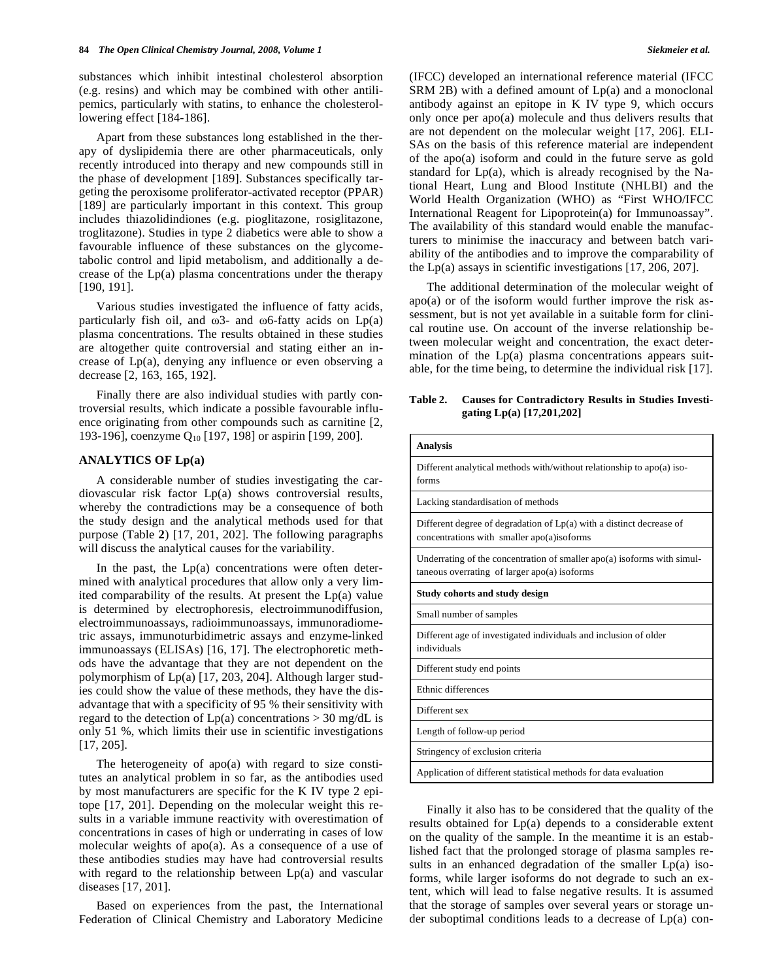substances which inhibit intestinal cholesterol absorption (e.g. resins) and which may be combined with other antilipemics, particularly with statins, to enhance the cholesterollowering effect [184-186].

 Apart from these substances long established in the therapy of dyslipidemia there are other pharmaceuticals, only recently introduced into therapy and new compounds still in the phase of development [189]. Substances specifically targeting the peroxisome proliferator-activated receptor (PPAR) [189] are particularly important in this context. This group includes thiazolidindiones (e.g. pioglitazone, rosiglitazone, troglitazone). Studies in type 2 diabetics were able to show a favourable influence of these substances on the glycometabolic control and lipid metabolism, and additionally a decrease of the  $Lp(a)$  plasma concentrations under the therapy [190, 191].

 Various studies investigated the influence of fatty acids, particularly fish oil, and  $\omega$ 3- and  $\omega$ 6-fatty acids on Lp(a) plasma concentrations. The results obtained in these studies are altogether quite controversial and stating either an increase of Lp(a), denying any influence or even observing a decrease [2, 163, 165, 192].

 Finally there are also individual studies with partly controversial results, which indicate a possible favourable influence originating from other compounds such as carnitine [2, 193-196], coenzyme Q<sub>10</sub> [197, 198] or aspirin [199, 200].

# **ANALYTICS OF Lp(a)**

 A considerable number of studies investigating the cardiovascular risk factor Lp(a) shows controversial results, whereby the contradictions may be a consequence of both the study design and the analytical methods used for that purpose (Table **2**) [17, 201, 202]. The following paragraphs will discuss the analytical causes for the variability.

In the past, the  $Lp(a)$  concentrations were often determined with analytical procedures that allow only a very limited comparability of the results. At present the Lp(a) value is determined by electrophoresis, electroimmunodiffusion, electroimmunoassays, radioimmunoassays, immunoradiometric assays, immunoturbidimetric assays and enzyme-linked immunoassays (ELISAs) [16, 17]. The electrophoretic methods have the advantage that they are not dependent on the polymorphism of Lp(a) [17, 203, 204]. Although larger studies could show the value of these methods, they have the disadvantage that with a specificity of 95 % their sensitivity with regard to the detection of  $Lp(a)$  concentrations  $> 30$  mg/dL is only 51 %, which limits their use in scientific investigations [17, 205].

 The heterogeneity of apo(a) with regard to size constitutes an analytical problem in so far, as the antibodies used by most manufacturers are specific for the K IV type 2 epitope [17, 201]. Depending on the molecular weight this results in a variable immune reactivity with overestimation of concentrations in cases of high or underrating in cases of low molecular weights of apo(a). As a consequence of a use of these antibodies studies may have had controversial results with regard to the relationship between Lp(a) and vascular diseases [17, 201].

 Based on experiences from the past, the International Federation of Clinical Chemistry and Laboratory Medicine (IFCC) developed an international reference material (IFCC  $SRM$  2B) with a defined amount of  $Lp(a)$  and a monoclonal antibody against an epitope in K IV type 9, which occurs only once per apo(a) molecule and thus delivers results that are not dependent on the molecular weight [17, 206]. ELI-SAs on the basis of this reference material are independent of the apo(a) isoform and could in the future serve as gold standard for  $Lp(a)$ , which is already recognised by the National Heart, Lung and Blood Institute (NHLBI) and the World Health Organization (WHO) as "First WHO/IFCC International Reagent for Lipoprotein(a) for Immunoassay". The availability of this standard would enable the manufacturers to minimise the inaccuracy and between batch variability of the antibodies and to improve the comparability of the Lp(a) assays in scientific investigations [17, 206, 207].

 The additional determination of the molecular weight of apo(a) or of the isoform would further improve the risk assessment, but is not yet available in a suitable form for clinical routine use. On account of the inverse relationship between molecular weight and concentration, the exact determination of the  $Lp(a)$  plasma concentrations appears suitable, for the time being, to determine the individual risk [17].

**Table 2. Causes for Contradictory Results in Studies Investigating Lp(a) [17,201,202]** 

| <b>Analysis</b>                                                                 |
|---------------------------------------------------------------------------------|
| Different analytical methods with/without relationship to apo(a) iso-           |
| forms                                                                           |
| Lacking standardisation of methods                                              |
| Different degree of degradation of $Lp(a)$ with a distinct decrease of          |
| concentrations with smaller apo(a)isoforms                                      |
| Underrating of the concentration of smaller $apo(a)$ isoforms with simul-       |
| taneous overrating of larger $apo(a)$ isoforms                                  |
| Study cohorts and study design                                                  |
| Small number of samples                                                         |
| Different age of investigated individuals and inclusion of older<br>individuals |
|                                                                                 |
| Different study end points                                                      |
| Ethnic differences                                                              |
| Different sex                                                                   |
| Length of follow-up period                                                      |
| Stringency of exclusion criteria                                                |
| Application of different statistical methods for data evaluation                |

 Finally it also has to be considered that the quality of the results obtained for Lp(a) depends to a considerable extent on the quality of the sample. In the meantime it is an established fact that the prolonged storage of plasma samples results in an enhanced degradation of the smaller Lp(a) isoforms, while larger isoforms do not degrade to such an extent, which will lead to false negative results. It is assumed that the storage of samples over several years or storage under suboptimal conditions leads to a decrease of Lp(a) con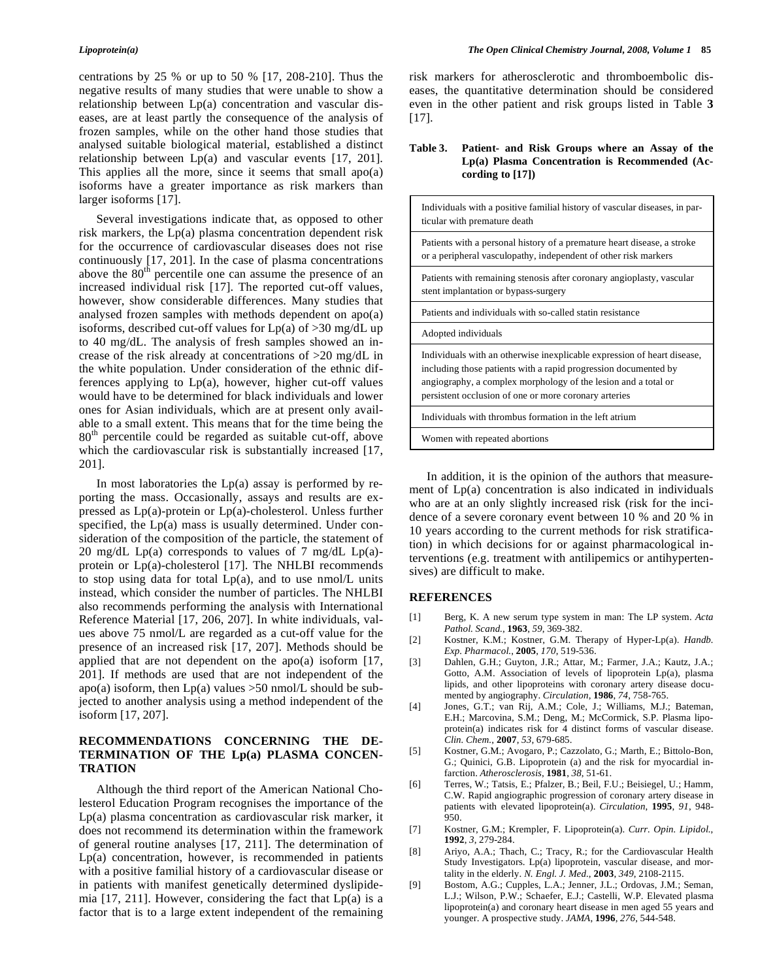centrations by 25 % or up to 50 % [17, 208-210]. Thus the negative results of many studies that were unable to show a relationship between Lp(a) concentration and vascular diseases, are at least partly the consequence of the analysis of frozen samples, while on the other hand those studies that analysed suitable biological material, established a distinct relationship between Lp(a) and vascular events [17, 201]. This applies all the more, since it seems that small apo(a) isoforms have a greater importance as risk markers than larger isoforms [17].

 Several investigations indicate that, as opposed to other risk markers, the Lp(a) plasma concentration dependent risk for the occurrence of cardiovascular diseases does not rise continuously [17, 201]. In the case of plasma concentrations above the  $80<sup>th</sup>$  percentile one can assume the presence of an increased individual risk [17]. The reported cut-off values, however, show considerable differences. Many studies that analysed frozen samples with methods dependent on apo(a) isoforms, described cut-off values for  $Lp(a)$  of  $>30$  mg/dL up to 40 mg/dL. The analysis of fresh samples showed an increase of the risk already at concentrations of >20 mg/dL in the white population. Under consideration of the ethnic differences applying to Lp(a), however, higher cut-off values would have to be determined for black individuals and lower ones for Asian individuals, which are at present only available to a small extent. This means that for the time being the 80th percentile could be regarded as suitable cut-off, above which the cardiovascular risk is substantially increased [17, 201].

In most laboratories the  $Lp(a)$  assay is performed by reporting the mass. Occasionally, assays and results are expressed as Lp(a)-protein or Lp(a)-cholesterol. Unless further specified, the Lp(a) mass is usually determined. Under consideration of the composition of the particle, the statement of 20 mg/dL Lp(a) corresponds to values of 7 mg/dL Lp(a)protein or Lp(a)-cholesterol [17]. The NHLBI recommends to stop using data for total  $Lp(a)$ , and to use nmol/L units instead, which consider the number of particles. The NHLBI also recommends performing the analysis with International Reference Material [17, 206, 207]. In white individuals, values above 75 nmol/L are regarded as a cut-off value for the presence of an increased risk [17, 207]. Methods should be applied that are not dependent on the apo(a) isoform  $[17, 17]$ 201]. If methods are used that are not independent of the apo(a) isoform, then  $Lp(a)$  values  $>50$  nmol/L should be subjected to another analysis using a method independent of the isoform [17, 207].

# **RECOMMENDATIONS CONCERNING THE DE-TERMINATION OF THE Lp(a) PLASMA CONCEN-TRATION**

 Although the third report of the American National Cholesterol Education Program recognises the importance of the Lp(a) plasma concentration as cardiovascular risk marker, it does not recommend its determination within the framework of general routine analyses [17, 211]. The determination of Lp(a) concentration, however, is recommended in patients with a positive familial history of a cardiovascular disease or in patients with manifest genetically determined dyslipidemia [17, 211]. However, considering the fact that Lp(a) is a factor that is to a large extent independent of the remaining risk markers for atherosclerotic and thromboembolic diseases, the quantitative determination should be considered even in the other patient and risk groups listed in Table **3** [17].

# **Table 3. Patient- and Risk Groups where an Assay of the Lp(a) Plasma Concentration is Recommended (According to [17])**

| Individuals with a positive familial history of vascular diseases, in par-<br>ticular with premature death                                                                                                                                                            |
|-----------------------------------------------------------------------------------------------------------------------------------------------------------------------------------------------------------------------------------------------------------------------|
| Patients with a personal history of a premature heart disease, a stroke<br>or a peripheral vasculopathy, independent of other risk markers                                                                                                                            |
| Patients with remaining stenosis after coronary angioplasty, vascular<br>stent implantation or bypass-surgery                                                                                                                                                         |
| Patients and individuals with so-called statin resistance                                                                                                                                                                                                             |
| Adopted individuals                                                                                                                                                                                                                                                   |
| Individuals with an otherwise inexplicable expression of heart disease,<br>including those patients with a rapid progression documented by<br>angiography, a complex morphology of the lesion and a total or<br>persistent occlusion of one or more coronary arteries |
| Individuals with thrombus formation in the left atrium                                                                                                                                                                                                                |
| Women with repeated abortions                                                                                                                                                                                                                                         |

 In addition, it is the opinion of the authors that measurement of Lp(a) concentration is also indicated in individuals who are at an only slightly increased risk (risk for the incidence of a severe coronary event between 10 % and 20 % in 10 years according to the current methods for risk stratification) in which decisions for or against pharmacological interventions (e.g. treatment with antilipemics or antihypertensives) are difficult to make.

# **REFERENCES**

- [1] Berg, K. A new serum type system in man: The LP system. *Acta Pathol. Scand.*, **1963**, *59*, 369-382.
- [2] Kostner, K.M.; Kostner, G.M. Therapy of Hyper-Lp(a). *Handb. Exp. Pharmacol.*, **2005**, *170*, 519-536.
- [3] Dahlen, G.H.; Guyton, J.R.; Attar, M.; Farmer, J.A.; Kautz, J.A.; Gotto, A.M. Association of levels of lipoprotein Lp(a), plasma lipids, and other lipoproteins with coronary artery disease documented by angiography. *Circulation*, **1986**, *74*, 758-765.
- [4] Jones, G.T.; van Rij, A.M.; Cole, J.; Williams, M.J.; Bateman, E.H.; Marcovina, S.M.; Deng, M.; McCormick, S.P. Plasma lipoprotein(a) indicates risk for 4 distinct forms of vascular disease. *Clin. Chem.*, **2007**, *53*, 679-685.
- [5] Kostner, G.M.; Avogaro, P.; Cazzolato, G.; Marth, E.; Bittolo-Bon, G.; Quinici, G.B. Lipoprotein (a) and the risk for myocardial infarction. *Atherosclerosis*, **1981**, *38*, 51-61.
- [6] Terres, W.; Tatsis, E.; Pfalzer, B.; Beil, F.U.; Beisiegel, U.; Hamm, C.W. Rapid angiographic progression of coronary artery disease in patients with elevated lipoprotein(a). *Circulation*, **1995**, *91*, 948- 950.
- [7] Kostner, G.M.; Krempler, F. Lipoprotein(a). *Curr. Opin. Lipidol.*, **1992**, *3*, 279-284.
- [8] Ariyo, A.A.; Thach, C.; Tracy, R.; for the Cardiovascular Health Study Investigators. Lp(a) lipoprotein, vascular disease, and mortality in the elderly. *N. Engl. J. Med.*, **2003**, *349*, 2108-2115.
- [9] Bostom, A.G.; Cupples, L.A.; Jenner, J.L.; Ordovas, J.M.; Seman, L.J.; Wilson, P.W.; Schaefer, E.J.; Castelli, W.P. Elevated plasma lipoprotein(a) and coronary heart disease in men aged 55 years and younger. A prospective study. *JAMA*, **1996**, *276*, 544-548.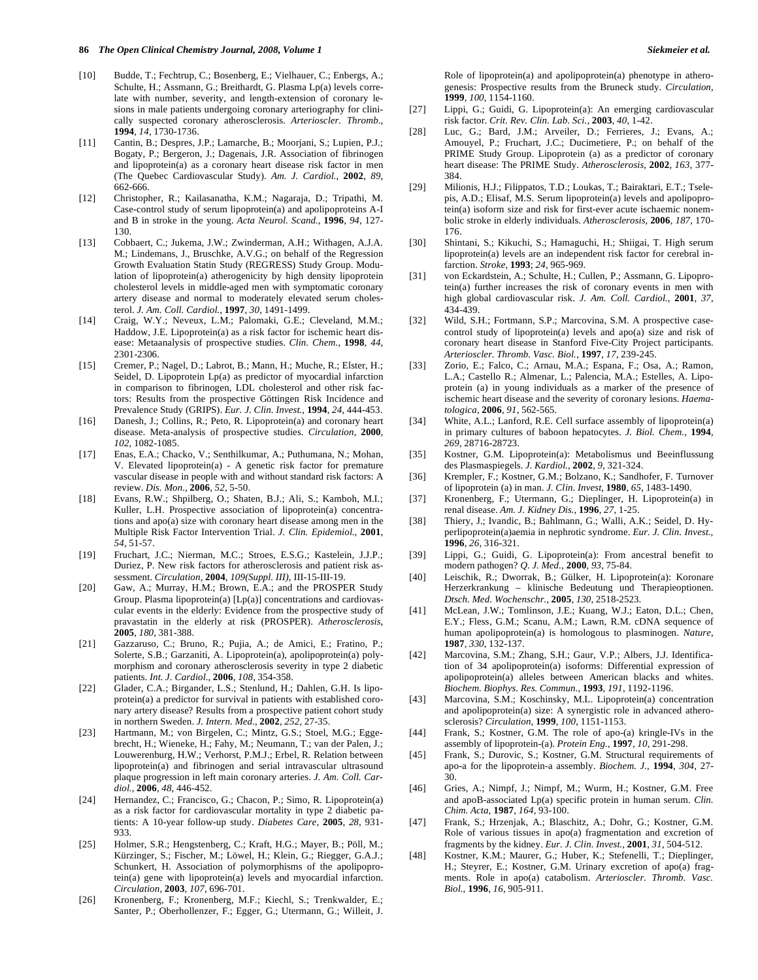- [10] Budde, T.; Fechtrup, C.; Bosenberg, E.; Vielhauer, C.; Enbergs, A.; Schulte, H.; Assmann, G.; Breithardt, G. Plasma Lp(a) levels correlate with number, severity, and length-extension of coronary lesions in male patients undergoing coronary arteriography for clinically suspected coronary atherosclerosis. *Arterioscler. Thromb.*, **1994**, *14*, 1730-1736.
- [11] Cantin, B.; Despres, J.P.; Lamarche, B.; Moorjani, S.; Lupien, P.J.; Bogaty, P.; Bergeron, J.; Dagenais, J.R. Association of fibrinogen and lipoprotein(a) as a coronary heart disease risk factor in men (The Quebec Cardiovascular Study). *Am. J. Cardiol.*, **2002**, *89*, 662-666.
- [12] Christopher, R.; Kailasanatha, K.M.; Nagaraja, D.; Tripathi, M. Case-control study of serum lipoprotein(a) and apolipoproteins A-I and B in stroke in the young. *Acta Neurol. Scand.*, **1996**, *94*, 127- 130.
- [13] Cobbaert, C.; Jukema, J.W.; Zwinderman, A.H.; Withagen, A.J.A. M.; Lindemans, J., Bruschke, A.V.G.; on behalf of the Regression Growth Evaluation Statin Study (REGRESS) Study Group. Modulation of lipoprotein(a) atherogenicity by high density lipoprotein cholesterol levels in middle-aged men with symptomatic coronary artery disease and normal to moderately elevated serum cholesterol. *J. Am. Coll. Cardiol.*, **1997**, *30*, 1491-1499.
- [14] Craig, W.Y.; Neveux, L.M.; Palomaki, G.E.; Cleveland, M.M.; Haddow, J.E. Lipoprotein(a) as a risk factor for ischemic heart disease: Metaanalysis of prospective studies. *Clin. Chem.,* **1998**, *44*, 2301-2306.
- [15] Cremer, P.; Nagel, D.; Labrot, B.; Mann, H.; Muche, R.; Elster, H.; Seidel, D. Lipoprotein Lp(a) as predictor of myocardial infarction in comparison to fibrinogen, LDL cholesterol and other risk factors: Results from the prospective Göttingen Risk Incidence and Prevalence Study (GRIPS). *Eur. J. Clin. Invest.*, **1994**, *24*, 444-453.
- [16] Danesh, J.; Collins, R.; Peto, R. Lipoprotein(a) and coronary heart disease. Meta-analysis of prospective studies. *Circulation*, **2000**, *102*, 1082-1085.
- [17] Enas, E.A.; Chacko, V.; Senthilkumar, A.; Puthumana, N.; Mohan, V. Elevated lipoprotein(a) - A genetic risk factor for premature vascular disease in people with and without standard risk factors: A review. *Dis. Mon.*, **2006**, *52*, 5-50.
- [18] Evans, R.W.; Shpilberg, O.; Shaten, B.J.; Ali, S.; Kamboh, M.I.; Kuller, L.H. Prospective association of lipoprotein(a) concentrations and apo(a) size with coronary heart disease among men in the Multiple Risk Factor Intervention Trial. *J. Clin. Epidemiol.*, **2001**, *54*, 51-57.
- [19] Fruchart, J.C.; Nierman, M.C.; Stroes, E.S.G.; Kastelein, J.J.P.; Duriez, P. New risk factors for atherosclerosis and patient risk assessment. *Circulation*, **2004**, *109(Suppl. III)*, III-15-III-19.
- [20] Gaw, A.; Murray, H.M.; Brown, E.A.; and the PROSPER Study Group. Plasma lipoprotein(a) [Lp(a)] concentrations and cardiovascular events in the elderly: Evidence from the prospective study of pravastatin in the elderly at risk (PROSPER). *Atherosclerosis*, **2005**, *180*, 381-388.
- [21] Gazzaruso, C.; Bruno, R.; Pujia, A.; de Amici, E.; Fratino, P.; Solerte, S.B.; Garzaniti, A. Lipoprotein(a), apolipoprotein(a) polymorphism and coronary atherosclerosis severity in type 2 diabetic patients. *Int. J. Cardiol.*, **2006**, *108*, 354-358.
- [22] Glader, C.A.; Birgander, L.S.; Stenlund, H.; Dahlen, G.H. Is lipoprotein(a) a predictor for survival in patients with established coronary artery disease? Results from a prospective patient cohort study in northern Sweden. *J. Intern. Med.*, **2002**, *252*, 27-35.
- [23] Hartmann, M.; von Birgelen, C.; Mintz, G.S.; Stoel, M.G.; Eggebrecht, H.; Wieneke, H.; Fahy, M.; Neumann, T.; van der Palen, J.; Louwerenburg, H.W.; Verhorst, P.M.J.; Erbel, R. Relation between lipoprotein(a) and fibrinogen and serial intravascular ultrasound plaque progression in left main coronary arteries. *J. Am. Coll. Cardiol.*, **2006**, *48*, 446-452.
- [24] Hernandez, C.; Francisco, G.; Chacon, P.; Simo, R. Lipoprotein(a) as a risk factor for cardiovascular mortality in type 2 diabetic patients: A 10-year follow-up study. *Diabetes Care*, **2005**, *28*, 931- 933.
- [25] Holmer, S.R.; Hengstenberg, C.; Kraft, H.G.; Mayer, B.; Pöll, M.; Kürzinger, S.; Fischer, M.; Löwel, H.; Klein, G.; Riegger, G.A.J.; Schunkert, H. Association of polymorphisms of the apolipoprotein(a) gene with lipoprotein(a) levels and myocardial infarction. *Circulation*, **2003**, *107*, 696-701.
- [26] Kronenberg, F.; Kronenberg, M.F.; Kiechl, S.; Trenkwalder, E.; Santer, P.; Oberhollenzer, F.; Egger, G.; Utermann, G.; Willeit, J.

Role of lipoprotein(a) and apolipoprotein(a) phenotype in atherogenesis: Prospective results from the Bruneck study. *Circulation*, **1999**, *100*, 1154-1160.

- [27] Lippi, G.; Guidi, G. Lipoprotein(a): An emerging cardiovascular risk factor. *Crit. Rev. Clin. Lab. Sci.*, **2003**, *40*, 1-42.
- [28] Luc, G.; Bard, J.M.; Arveiler, D.; Ferrieres, J.; Evans, A.; Amouyel, P.; Fruchart, J.C.; Ducimetiere, P.; on behalf of the PRIME Study Group. Lipoprotein (a) as a predictor of coronary heart disease: The PRIME Study. *Atherosclerosis*, **2002**, *163*, 377- 384.
- [29] Milionis, H.J.; Filippatos, T.D.; Loukas, T.; Bairaktari, E.T.; Tselepis, A.D.; Elisaf, M.S. Serum lipoprotein(a) levels and apolipoprotein(a) isoform size and risk for first-ever acute ischaemic nonembolic stroke in elderly individuals. *Atherosclerosis*, **2006**, *187*, 170- 176.
- [30] Shintani, S.; Kikuchi, S.; Hamaguchi, H.; Shiigai, T. High serum lipoprotein(a) levels are an independent risk factor for cerebral infarction. *Stroke*, **1993**; *24*, 965-969.
- [31] von Eckardstein, A.; Schulte, H.; Cullen, P.; Assmann, G. Lipoprotein(a) further increases the risk of coronary events in men with high global cardiovascular risk. *J. Am. Coll. Cardiol.*, **2001**, *37*, 434-439.
- [32] Wild, S.H.; Fortmann, S.P.; Marcovina, S.M. A prospective casecontrol study of lipoprotein(a) levels and apo(a) size and risk of coronary heart disease in Stanford Five-City Project participants. *Arterioscler. Thromb. Vasc. Biol.*, **1997**, *17*, 239-245.
- [33] Zorio, E.; Falco, C.; Arnau, M.A.; Espana, F.; Osa, A.; Ramon, L.A.; Castello R.; Almenar, L.; Palencia, M.A.; Estelles, A. Lipoprotein (a) in young individuals as a marker of the presence of ischemic heart disease and the severity of coronary lesions. *Haematologica*, **2006**, *91*, 562-565.
- [34] White, A.L.; Lanford, R.E. Cell surface assembly of lipoprotein(a) in primary cultures of baboon hepatocytes. *J. Biol. Chem.*, **1994**, *269*, 28716-28723.
- [35] Kostner, G.M. Lipoprotein(a): Metabolismus und Beeinflussung des Plasmaspiegels. *J. Kardiol.*, **2002**, *9*, 321-324.
- [36] Krempler, F.; Kostner, G.M.; Bolzano, K.; Sandhofer, F. Turnover of lipoprotein (a) in man. *J. Clin. Invest*, **1980**, *65*, 1483-1490.
- [37] Kronenberg, F.; Utermann, G.; Dieplinger, H. Lipoprotein(a) in renal disease. *Am. J. Kidney Dis.*, **1996**, *27*, 1-25.
- [38] Thiery, J.; Ivandic, B.; Bahlmann, G.; Walli, A.K.; Seidel, D. Hyperlipoprotein(a)aemia in nephrotic syndrome. *Eur. J. Clin. Invest.,* **1996**, *26*, 316-321.
- [39] Lippi, G.; Guidi, G. Lipoprotein(a): From ancestral benefit to modern pathogen? *Q. J. Med.*, **2000**, *93*, 75-84.
- [40] Leischik, R.; Dworrak, B.; Gülker, H. Lipoprotein(a): Koronare Herzerkrankung – klinische Bedeutung und Therapieoptionen. *Dtsch. Med. Wochenschr.*, **2005**, *130*, 2518-2523.
- [41] McLean, J.W.; Tomlinson, J.E.; Kuang, W.J.; Eaton, D.L.; Chen, E.Y.; Fless, G.M.; Scanu, A.M.; Lawn, R.M. cDNA sequence of human apolipoprotein(a) is homologous to plasminogen. *Nature*, **1987**, *330*, 132-137.
- [42] Marcovina, S.M.; Zhang, S.H.; Gaur, V.P.; Albers, J.J. Identification of 34 apolipoprotein(a) isoforms: Differential expression of apolipoprotein(a) alleles between American blacks and whites. *Biochem. Biophys. Res. Commun.*, **1993**, *191*, 1192-1196.
- [43] Marcovina, S.M.; Koschinsky, M.L. Lipoprotein(a) concentration and apolipoprotein(a) size: A synergistic role in advanced atherosclerosis? *Circulation*, **1999**, *100*, 1151-1153.
- [44] Frank, S.; Kostner, G.M. The role of apo-(a) kringle-IVs in the assembly of lipoprotein-(a). *Protein Eng.*, **1997**, *10*, 291-298.
- [45] Frank, S.; Durovic, S.; Kostner, G.M. Structural requirements of apo-a for the lipoprotein-a assembly. *Biochem. J.*, **1994**, *304*, 27- 30.
- [46] Gries, A.; Nimpf, J.; Nimpf, M.; Wurm, H.; Kostner, G.M. Free and apoB-associated Lp(a) specific protein in human serum. *Clin. Chim. Acta*, **1987**, *164*, 93-100.
- [47] Frank, S.; Hrzenjak, A.; Blaschitz, A.; Dohr, G.; Kostner, G.M. Role of various tissues in apo(a) fragmentation and excretion of fragments by the kidney. *Eur. J. Clin. Invest.*, **2001**, *31*, 504-512.
- [48] Kostner, K.M.; Maurer, G.; Huber, K.; Stefenelli, T.; Dieplinger, H.; Steyrer, E.; Kostner, G.M. Urinary excretion of apo(a) fragments. Role in apo(a) catabolism. *Arterioscler. Thromb. Vasc. Biol.*, **1996**, *16*, 905-911.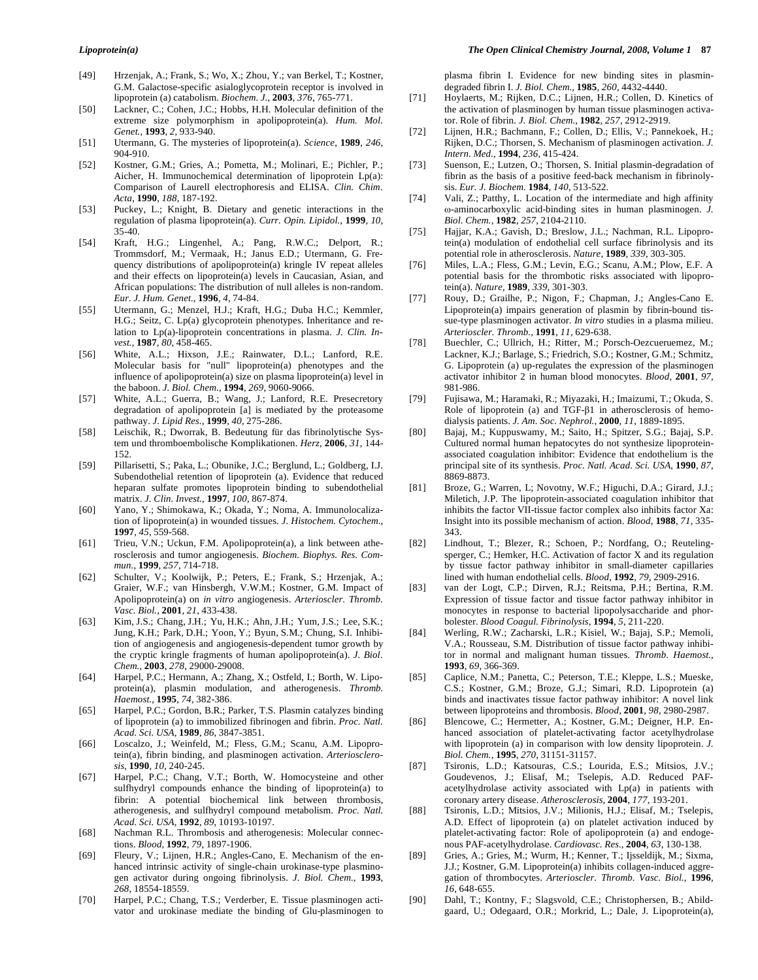- [49] Hrzenjak, A.; Frank, S.; Wo, X.; Zhou, Y.; van Berkel, T.; Kostner, G.M. Galactose-specific asialoglycoprotein receptor is involved in lipoprotein (a) catabolism. *Biochem. J.*, **2003**, *376*, 765-771.
- [50] Lackner, C.; Cohen, J.C.; Hobbs, H.H. Molecular definition of the extreme size polymorphism in apolipoprotein(a). *Hum. Mol. Genet.*, **1993**, *2*, 933-940.
- [51] Utermann, G. The mysteries of lipoprotein(a). *Science*, **1989**, *246*, 904-910.
- [52] Kostner, G.M.; Gries, A.; Pometta, M.; Molinari, E.; Pichler, P.; Aicher, H. Immunochemical determination of lipoprotein Lp(a): Comparison of Laurell electrophoresis and ELISA. *Clin. Chim. Acta*, **1990**, *188*, 187-192.
- [53] Puckey, L.; Knight, B. Dietary and genetic interactions in the regulation of plasma lipoprotein(a). *Curr. Opin. Lipidol.*, **1999**, *10*, 35-40.
- [54] Kraft, H.G.; Lingenhel, A.; Pang, R.W.C.; Delport, R.; Trommsdorf, M.; Vermaak, H.; Janus E.D.; Utermann, G. Frequency distributions of apolipoprotein(a) kringle IV repeat alleles and their effects on lipoprotein(a) levels in Caucasian, Asian, and African populations: The distribution of null alleles is non-random. *Eur. J. Hum. Genet.*, **1996**, *4*, 74-84.
- [55] Utermann, G.; Menzel, H.J.; Kraft, H.G.; Duba H.C.; Kemmler, H.G.; Seitz, C. Lp(a) glycoprotein phenotypes. Inheritance and relation to Lp(a)-lipoprotein concentrations in plasma. *J. Clin. Invest.*, **1987**, *80*, 458-465.
- [56] White, A.L.; Hixson, J.E.; Rainwater, D.L.; Lanford, R.E. Molecular basis for "null" lipoprotein(a) phenotypes and the influence of apolipoprotein(a) size on plasma lipoprotein(a) level in the baboon. *J. Biol. Chem.*, **1994**, *269*, 9060-9066.
- [57] White, A.L.; Guerra, B.; Wang, J.; Lanford, R.E. Presecretory degradation of apolipoprotein [a] is mediated by the proteasome pathway. *J. Lipid Res.*, **1999**, *40*, 275-286.
- [58] Leischik, R.; Dworrak, B. Bedeutung für das fibrinolytische System und thromboembolische Komplikationen. *Herz*, **2006**, *31*, 144- 152.
- [59] Pillarisetti, S.; Paka, L.; Obunike, J.C.; Berglund, L.; Goldberg, I.J. Subendothelial retention of lipoprotein (a). Evidence that reduced heparan sulfate promotes lipoprotein binding to subendothelial matrix. *J. Clin. Invest.*, **1997**, *100*, 867-874.
- [60] Yano, Y.; Shimokawa, K.; Okada, Y.; Noma, A. Immunolocalization of lipoprotein(a) in wounded tissues. *J. Histochem. Cytochem.*, **1997**, *45*, 559-568.
- [61] Trieu, V.N.; Uckun, F.M. Apolipoprotein(a), a link between atherosclerosis and tumor angiogenesis. *Biochem. Biophys. Res. Commun.*, **1999**, *257*, 714-718.
- [62] Schulter, V.; Koolwijk, P.; Peters, E.; Frank, S.; Hrzenjak, A.; Graier, W.F.; van Hinsbergh, V.W.M.; Kostner, G.M. Impact of Apolipoprotein(a) on *in vitro* angiogenesis. *Arterioscler. Thromb. Vasc. Biol.*, **2001**, *21*, 433-438.
- [63] Kim, J.S.; Chang, J.H.; Yu, H.K.; Ahn, J.H.; Yum, J.S.; Lee, S.K.; Jung, K.H.; Park, D.H.; Yoon, Y.; Byun, S.M.; Chung, S.I. Inhibition of angiogenesis and angiogenesis-dependent tumor growth by the cryptic kringle fragments of human apolipoprotein(a). *J. Biol. Chem.*, **2003**, *278*, 29000-29008.
- [64] Harpel, P.C.; Hermann, A.; Zhang, X.; Ostfeld, I.; Borth, W. Lipoprotein(a), plasmin modulation, and atherogenesis. *Thromb. Haemost.*, **1995**, *74*, 382-386.
- [65] Harpel, P.C.; Gordon, B.R.; Parker, T.S. Plasmin catalyzes binding of lipoprotein (a) to immobilized fibrinogen and fibrin. *Proc. Natl. Acad. Sci. USA*, **1989**, *86*, 3847-3851.
- [66] Loscalzo, J.; Weinfeld, M.; Fless, G.M.; Scanu, A.M. Lipoprotein(a), fibrin binding, and plasminogen activation. *Arteriosclerosis*, **1990**, *10*, 240-245.
- [67] Harpel, P.C.; Chang, V.T.; Borth, W. Homocysteine and other sulfhydryl compounds enhance the binding of lipoprotein(a) to fibrin: A potential biochemical link between thrombosis, atherogenesis, and sulfhydryl compound metabolism. *Proc. Natl. Acad. Sci. USA*, **1992**, *89*, 10193-10197.
- [68] Nachman R.L. Thrombosis and atherogenesis: Molecular connections. *Blood*, **1992**, *79*, 1897-1906.
- [69] Fleury, V.; Lijnen, H.R.; Angles-Cano, E. Mechanism of the enhanced intrinsic activity of single-chain urokinase-type plasminogen activator during ongoing fibrinolysis. *J. Biol. Chem.*, **1993**, *268*, 18554-18559.
- [70] Harpel, P.C.; Chang, T.S.; Verderber, E. Tissue plasminogen activator and urokinase mediate the binding of Glu-plasminogen to

plasma fibrin I. Evidence for new binding sites in plasmindegraded fibrin I. *J. Biol. Chem.*, **1985**, *260*, 4432-4440.

- [71] Hoylaerts, M.; Rijken, D.C.; Lijnen, H.R.; Collen, D. Kinetics of the activation of plasminogen by human tissue plasminogen activator. Role of fibrin. *J. Biol. Chem.*, **1982**, *257*, 2912-2919.
- [72] Lijnen, H.R.; Bachmann, F.; Collen, D.; Ellis, V.; Pannekoek, H.; Rijken, D.C.; Thorsen, S. Mechanism of plasminogen activation. *J. Intern. Med.*, **1994**, *236*, 415-424.
- [73] Suenson, E.; Lutzen, O.; Thorsen, S. Initial plasmin-degradation of fibrin as the basis of a positive feed-back mechanism in fibrinolysis. *Eur. J. Biochem.* **1984**, *140*, 513-522.
- [74] Vali, Z.; Patthy, L. Location of the intermediate and high affinity --aminocarboxylic acid-binding sites in human plasminogen. *J. Biol. Chem.*, **1982**, *257*, 2104-2110.
- [75] Hajjar, K.A.; Gavish, D.; Breslow, J.L.; Nachman, R.L. Lipoprotein(a) modulation of endothelial cell surface fibrinolysis and its potential role in atherosclerosis. *Nature*, **1989**, *339*, 303-305.
- [76] Miles, L.A.; Fless, G.M.; Levin, E.G.; Scanu, A.M.; Plow, E.F. A potential basis for the thrombotic risks associated with lipoprotein(a). *Nature*, **1989**, *339*, 301-303.
- [77] Rouy, D.; Grailhe, P.; Nigon, F.; Chapman, J.; Angles-Cano E. Lipoprotein(a) impairs generation of plasmin by fibrin-bound tissue-type plasminogen activator. *In vitro* studies in a plasma milieu. *Arterioscler. Thromb.,* **1991**, *11*, 629-638.
- [78] Buechler, C.; Ullrich, H.; Ritter, M.; Porsch-Oezcueruemez, M.; Lackner, K.J.; Barlage, S.; Friedrich, S.O.; Kostner, G.M.; Schmitz, G. Lipoprotein (a) up-regulates the expression of the plasminogen activator inhibitor 2 in human blood monocytes. *Blood*, **2001**, *97*, 981-986.
- [79] Fujisawa, M.; Haramaki, R.; Miyazaki, H.; Imaizumi, T.; Okuda, S. Role of lipoprotein (a) and TGF- $\beta$ 1 in atherosclerosis of hemodialysis patients. *J. Am. Soc. Nephrol.*, **2000**, *11*, 1889-1895.
- [80] Bajaj, M.; Kuppuswamy, M.; Saito, H.; Spitzer, S.G.; Bajaj, S.P. Cultured normal human hepatocytes do not synthesize lipoproteinassociated coagulation inhibitor: Evidence that endothelium is the principal site of its synthesis. *Proc. Natl. Acad. Sci. USA*, **1990**, *87*, 8869-8873.
- [81] Broze, G.; Warren, L; Novotny, W.F.; Higuchi, D.A.; Girard, J.J.; Miletich, J.P. The lipoprotein-associated coagulation inhibitor that inhibits the factor VII-tissue factor complex also inhibits factor Xa: Insight into its possible mechanism of action. *Blood*, **1988**, *71*, 335- 343.
- [82] Lindhout, T.; Blezer, R.; Schoen, P.; Nordfang, O.; Reutelingsperger, C.; Hemker, H.C. Activation of factor X and its regulation by tissue factor pathway inhibitor in small-diameter capillaries lined with human endothelial cells. *Blood*, **1992**, *79*, 2909-2916.
- [83] van der Logt, C.P.; Dirven, R.J.; Reitsma, P.H.; Bertina, R.M. Expression of tissue factor and tissue factor pathway inhibitor in monocytes in response to bacterial lipopolysaccharide and phorbolester. *Blood Coagul. Fibrinolysis,* **1994**, *5*, 211-220.
- [84] Werling, R.W.; Zacharski, L.R.; Kisiel, W.; Bajaj, S.P.; Memoli, V.A.; Rousseau, S.M. Distribution of tissue factor pathway inhibitor in normal and malignant human tissues. *Thromb. Haemost.*, **1993**, *69*, 366-369.
- [85] Caplice, N.M.; Panetta, C.; Peterson, T.E.; Kleppe, L.S.; Mueske, C.S.; Kostner, G.M.; Broze, G.J.; Simari, R.D. Lipoprotein (a) binds and inactivates tissue factor pathway inhibitor: A novel link between lipoproteins and thrombosis. *Blood*, **2001**, *98*, 2980-2987.
- [86] Blencowe, C.; Hermetter, A.; Kostner, G.M.; Deigner, H.P. Enhanced association of platelet-activating factor acetylhydrolase with lipoprotein (a) in comparison with low density lipoprotein. *J. Biol. Chem.*, **1995**, *270*, 31151-31157.
- [87] Tsironis, L.D.; Katsouras, C.S.; Lourida, E.S.; Mitsios, J.V.; Goudevenos, J.; Elisaf, M.; Tselepis, A.D. Reduced PAFacetylhydrolase activity associated with Lp(a) in patients with coronary artery disease. *Atherosclerosis*, **2004**, *177*, 193-201.
- [88] Tsironis, L.D.; Mitsios, J.V.; Milionis, H.J.; Elisaf, M.; Tselepis, A.D. Effect of lipoprotein (a) on platelet activation induced by platelet-activating factor: Role of apolipoprotein (a) and endogenous PAF-acetylhydrolase. *Cardiovasc. Res.*, **2004**, *63*, 130-138.
- [89] Gries, A.; Gries, M.; Wurm, H.; Kenner, T.; Ijsseldijk, M.; Sixma, J.J.; Kostner, G.M. Lipoprotein(a) inhibits collagen-induced aggregation of thrombocytes. *Arterioscler. Thromb. Vasc. Biol.*, **1996**, *16*, 648-655.
- [90] Dahl, T.; Kontny, F.; Slagsvold, C.E.; Christophersen, B.; Abildgaard, U.; Odegaard, O.R.; Morkrid, L.; Dale, J. Lipoprotein(a),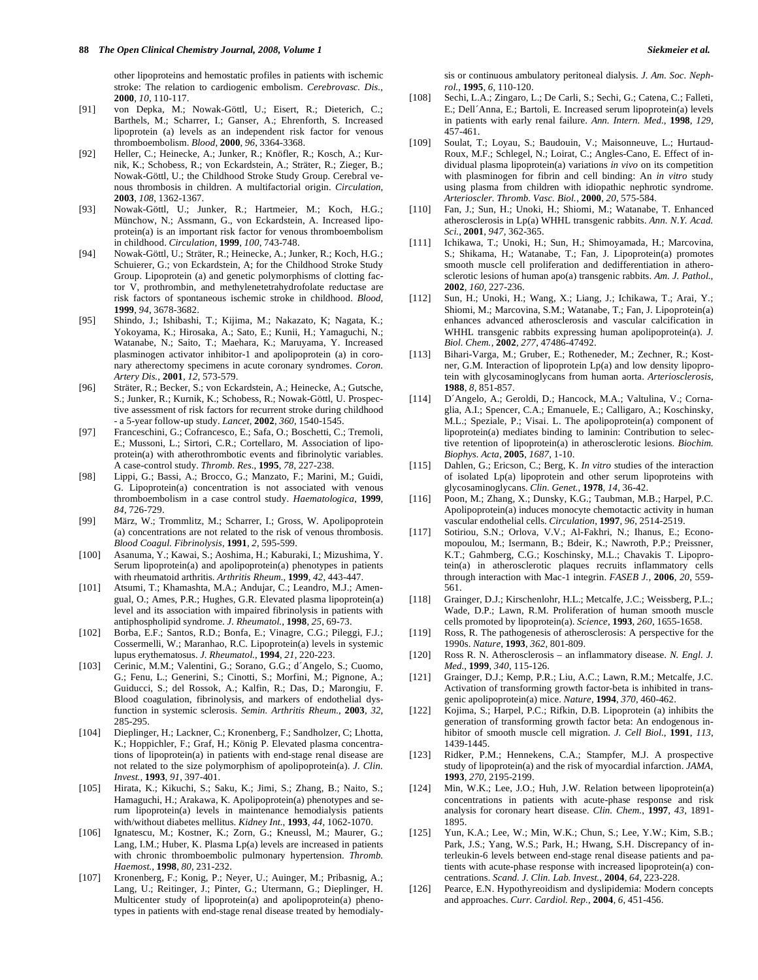other lipoproteins and hemostatic profiles in patients with ischemic stroke: The relation to cardiogenic embolism. *Cerebrovasc. Dis.*, **2000**, *10*, 110-117.

- [91] von Depka, M.; Nowak-Göttl, U.; Eisert, R.; Dieterich, C.; Barthels, M.; Scharrer, I.; Ganser, A.; Ehrenforth, S. Increased lipoprotein (a) levels as an independent risk factor for venous thromboembolism. *Blood*, **2000**, *96*, 3364-3368.
- [92] Heller, C.; Heinecke, A.; Junker, R.; Knöfler, R.; Kosch, A.; Kurnik, K.; Schobess, R.; von Eckardstein, A.; Sträter, R.; Zieger, B.; Nowak-Göttl, U.; the Childhood Stroke Study Group. Cerebral venous thrombosis in children. A multifactorial origin. *Circulation*, **2003**, *108*, 1362-1367.
- [93] Nowak-Göttl, U.; Junker, R.; Hartmeier, M.; Koch, H.G.; Münchow, N.; Assmann, G., von Eckardstein, A. Increased lipoprotein(a) is an important risk factor for venous thromboembolism in childhood. *Circulation*, **1999**, *100*, 743-748.
- [94] Nowak-Göttl, U.; Sträter, R.; Heinecke, A.; Junker, R.; Koch, H.G.; Schuierer, G.; von Eckardstein, A; for the Childhood Stroke Study Group. Lipoprotein (a) and genetic polymorphisms of clotting factor V, prothrombin, and methylenetetrahydrofolate reductase are risk factors of spontaneous ischemic stroke in childhood. *Blood*, **1999**, *94*, 3678-3682.
- [95] Shindo, J.; Ishibashi, T.; Kijima, M.; Nakazato, K; Nagata, K.; Yokoyama, K.; Hirosaka, A.; Sato, E.; Kunii, H.; Yamaguchi, N.; Watanabe, N.; Saito, T.; Maehara, K.; Maruyama, Y. Increased plasminogen activator inhibitor-1 and apolipoprotein (a) in coronary atherectomy specimens in acute coronary syndromes. *Coron. Artery Dis.*, **2001**, *12*, 573-579.
- [96] Sträter, R.; Becker, S.; von Eckardstein, A.; Heinecke, A.; Gutsche, S.; Junker, R.; Kurnik, K.; Schobess, R.; Nowak-Göttl, U. Prospective assessment of risk factors for recurrent stroke during childhood - a 5-year follow-up study. *Lancet*, **2002**, *360*, 1540-1545.
- [97] Franceschini, G.; Cofrancesco, E.; Safa, O.; Boschetti, C.; Tremoli, E.; Mussoni, L.; Sirtori, C.R.; Cortellaro, M. Association of lipoprotein(a) with atherothrombotic events and fibrinolytic variables. A case-control study. *Thromb. Res.*, **1995**, *78*, 227-238.
- [98] Lippi, G.; Bassi, A.; Brocco, G.; Manzato, F.; Marini, M.; Guidi, G. Lipoprotein(a) concentration is not associated with venous thromboembolism in a case control study. *Haematologica*, **1999**, *84*, 726-729.
- [99] März, W.; Trommlitz, M.; Scharrer, I.; Gross, W. Apolipoprotein (a) concentrations are not related to the risk of venous thrombosis. *Blood Coagul. Fibrinolysis*, **1991**, *2*, 595-599.
- [100] Asanuma, Y.; Kawai, S.; Aoshima, H.; Kaburaki, I.; Mizushima, Y. Serum lipoprotein(a) and apolipoprotein(a) phenotypes in patients with rheumatoid arthritis. *Arthritis Rheum.*, **1999**, *42*, 443-447.
- [101] Atsumi, T.; Khamashta, M.A.; Andujar, C.; Leandro, M.J.; Amengual, O.; Ames, P.R.; Hughes, G.R. Elevated plasma lipoprotein(a) level and its association with impaired fibrinolysis in patients with antiphospholipid syndrome. *J. Rheumatol.*, **1998**, *25*, 69-73.
- [102] Borba, E.F.; Santos, R.D.; Bonfa, E.; Vinagre, C.G.; Pileggi, F.J.; Cossermelli, W.; Maranhao, R.C. Lipoprotein(a) levels in systemic lupus erythematosus. *J. Rheumatol.*, **1994**, *21*, 220-223.
- [103] Cerinic, M.M.; Valentini, G.; Sorano, G.G.; d´Angelo, S.; Cuomo, G.; Fenu, L.; Generini, S.; Cinotti, S.; Morfini, M.; Pignone, A.; Guiducci, S.; del Rossok, A.; Kalfin, R.; Das, D.; Marongiu, F. Blood coagulation, fibrinolysis, and markers of endothelial dysfunction in systemic sclerosis. *Semin. Arthritis Rheum.*, **2003**, *32*, 285-295.
- [104] Dieplinger, H.; Lackner, C.; Kronenberg, F.; Sandholzer, C; Lhotta, K.; Hoppichler, F.; Graf, H.; König P. Elevated plasma concentrations of lipoprotein(a) in patients with end-stage renal disease are not related to the size polymorphism of apolipoprotein(a). *J. Clin. Invest.*, **1993**, *91*, 397-401.
- [105] Hirata, K.; Kikuchi, S.; Saku, K.; Jimi, S.; Zhang, B.; Naito, S.; Hamaguchi, H.; Arakawa, K. Apolipoprotein(a) phenotypes and serum lipoprotein(a) levels in maintenance hemodialysis patients with/without diabetes mellitus. *Kidney Int.*, **1993**, *44*, 1062-1070.
- [106] Ignatescu, M.; Kostner, K.; Zorn, G.; Kneussl, M.; Maurer, G.; Lang, I.M.; Huber, K. Plasma Lp(a) levels are increased in patients with chronic thromboembolic pulmonary hypertension. *Thromb. Haemost.*, **1998**, *80*, 231-232.
- [107] Kronenberg, F.; Konig, P.; Neyer, U.; Auinger, M.; Pribasnig, A.; Lang, U.; Reitinger, J.; Pinter, G.; Utermann, G.; Dieplinger, H. Multicenter study of lipoprotein(a) and apolipoprotein(a) phenotypes in patients with end-stage renal disease treated by hemodialy-

sis or continuous ambulatory peritoneal dialysis. *J. Am. Soc. Nephrol.*, **1995**, *6*, 110-120.

- [108] Sechi, L.A.; Zingaro, L.; De Carli, S.; Sechi, G.; Catena, C.; Falleti, E.; Dell´Anna, E.; Bartoli, E. Increased serum lipoprotein(a) levels in patients with early renal failure. *Ann. Intern. Med.*, **1998**, *129*, 457-461.
- [109] Soulat, T.; Loyau, S.; Baudouin, V.; Maisonneuve, L.; Hurtaud-Roux, M.F.; Schlegel, N.; Loirat, C.; Angles-Cano, E. Effect of individual plasma lipoprotein(a) variations *in vivo* on its competition with plasminogen for fibrin and cell binding: An *in vitro* study using plasma from children with idiopathic nephrotic syndrome. *Arterioscler. Thromb. Vasc. Biol.*, **2000**, *20*, 575-584.
- [110] Fan, J.; Sun, H.; Unoki, H.; Shiomi, M.; Watanabe, T. Enhanced atherosclerosis in Lp(a) WHHL transgenic rabbits. *Ann. N.Y. Acad. Sci.*, **2001**, *947*, 362-365.
- [111] Ichikawa, T.; Unoki, H.; Sun, H.; Shimoyamada, H.; Marcovina, S.; Shikama, H.; Watanabe, T.; Fan, J. Lipoprotein(a) promotes smooth muscle cell proliferation and dedifferentiation in atherosclerotic lesions of human apo(a) transgenic rabbits. *Am. J. Pathol.*, **2002**, *160*, 227-236.
- [112] Sun, H.; Unoki, H.; Wang, X.; Liang, J.; Ichikawa, T.; Arai, Y.; Shiomi, M.; Marcovina, S.M.; Watanabe, T.; Fan, J. Lipoprotein(a) enhances advanced atherosclerosis and vascular calcification in WHHL transgenic rabbits expressing human apolipoprotein(a). *J. Biol. Chem.*, **2002**, *277*, 47486-47492.
- [113] Bihari-Varga, M.; Gruber, E.; Rotheneder, M.; Zechner, R.; Kostner, G.M. Interaction of lipoprotein Lp(a) and low density lipoprotein with glycosaminoglycans from human aorta. *Arteriosclerosis*, **1988**, *8*, 851-857.
- [114] D´Angelo, A.; Geroldi, D.; Hancock, M.A.; Valtulina, V.; Cornaglia, A.I.; Spencer, C.A.; Emanuele, E.; Calligaro, A.; Koschinsky, M.L.; Speziale, P.; Visai. L. The apolipoprotein(a) component of lipoprotein(a) mediates binding to laminin: Contribution to selective retention of lipoprotein(a) in atherosclerotic lesions. *Biochim. Biophys. Acta*, **2005**, *1687*, 1-10.
- [115] Dahlen, G.; Ericson, C.; Berg, K. *In vitro* studies of the interaction of isolated Lp(a) lipoprotein and other serum lipoproteins with glycosaminoglycans. *Clin. Genet.*, **1978**, *14*, 36-42.
- [116] Poon, M.; Zhang, X.; Dunsky, K.G.; Taubman, M.B.; Harpel, P.C. Apolipoprotein(a) induces monocyte chemotactic activity in human vascular endothelial cells. *Circulation*, **1997**, *96*, 2514-2519.
- [117] Sotiriou, S.N.; Orlova, V.V.; Al-Fakhri, N.; Ihanus, E.; Economopoulou, M.; Isermann, B.; Bdeir, K.; Nawroth, P.P.; Preissner, K.T.; Gahmberg, C.G.; Koschinsky, M.L.; Chavakis T. Lipoprotein(a) in atherosclerotic plaques recruits inflammatory cells through interaction with Mac-1 integrin. *FASEB J.*, **2006**, *20*, 559- 561.
- [118] Grainger, D.J.; Kirschenlohr, H.L.; Metcalfe, J.C.; Weissberg, P.L.; Wade, D.P.; Lawn, R.M. Proliferation of human smooth muscle cells promoted by lipoprotein(a). *Science*, **1993**, *260*, 1655-1658.
- [119] Ross, R. The pathogenesis of atherosclerosis: A perspective for the 1990s. *Nature*, **1993**, *362*, 801-809.
- [120] Ross R. N. Atherosclerosis an inflammatory disease. *N. Engl. J. Med.*, **1999**, *340*, 115-126.
- [121] Grainger, D.J.; Kemp, P.R.; Liu, A.C.; Lawn, R.M.; Metcalfe, J.C. Activation of transforming growth factor-beta is inhibited in transgenic apolipoprotein(a) mice. *Nature*, **1994**, *370*, 460-462.
- [122] Kojima, S.; Harpel, P.C.; Rifkin, D.B. Lipoprotein (a) inhibits the generation of transforming growth factor beta: An endogenous inhibitor of smooth muscle cell migration. *J. Cell Biol.*, **1991**, *113*, 1439-1445.
- [123] Ridker, P.M.; Hennekens, C.A.; Stampfer, M.J. A prospective study of lipoprotein(a) and the risk of myocardial infarction. *JAMA*, **1993**, *270*, 2195-2199.
- [124] Min, W.K.; Lee, J.O.; Huh, J.W. Relation between lipoprotein(a) concentrations in patients with acute-phase response and risk analysis for coronary heart disease. *Clin. Chem.*, **1997**, *43*, 1891- 1895.
- [125] Yun, K.A.; Lee, W.; Min, W.K.; Chun, S.; Lee, Y.W.; Kim, S.B.; Park, J.S.; Yang, W.S.; Park, H.; Hwang, S.H. Discrepancy of interleukin-6 levels between end-stage renal disease patients and patients with acute-phase response with increased lipoprotein(a) concentrations. *Scand. J. Clin. Lab. Invest.*, **2004**, *64*, 223-228.
- [126] Pearce, E.N. Hypothyreoidism and dyslipidemia: Modern concepts and approaches. *Curr. Cardiol. Rep.*, **2004**, *6*, 451-456.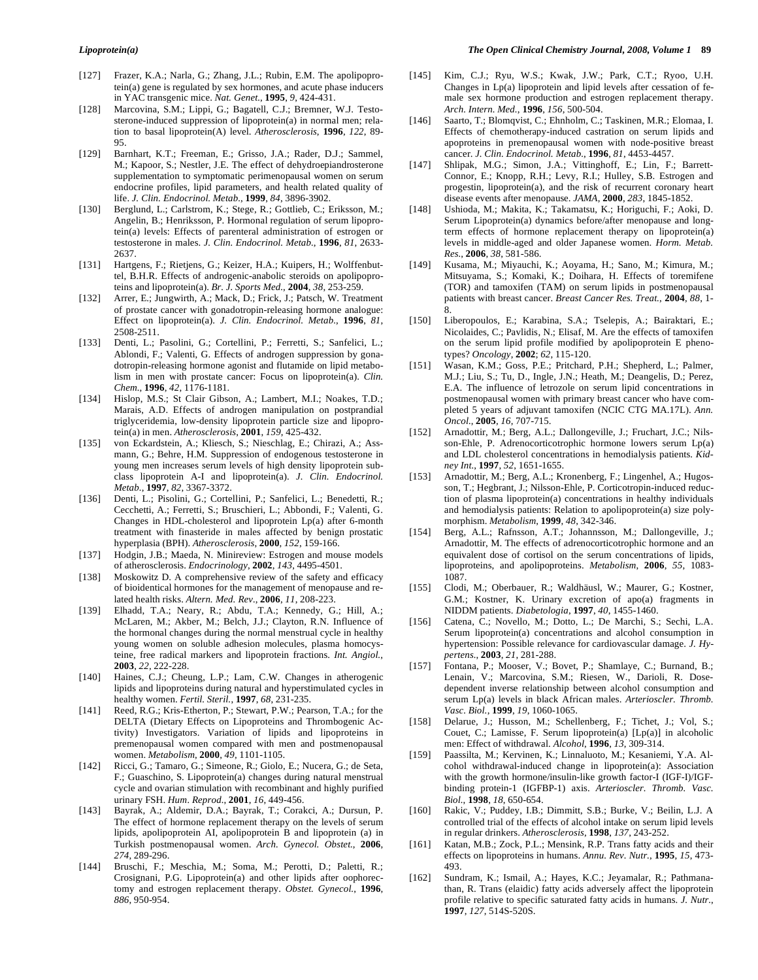- [127] Frazer, K.A.; Narla, G.; Zhang, J.L.; Rubin, E.M. The apolipoprotein(a) gene is regulated by sex hormones, and acute phase inducers in YAC transgenic mice. *Nat. Genet.*, **1995**, *9*, 424-431.
- [128] Marcovina, S.M.; Lippi, G.; Bagatell, C.J.; Bremner, W.J. Testosterone-induced suppression of lipoprotein(a) in normal men; relation to basal lipoprotein(A) level. *Atherosclerosis*, **1996**, *122*, 89- 95.
- [129] Barnhart, K.T.; Freeman, E.; Grisso, J.A.; Rader, D.J.; Sammel, M.; Kapoor, S.; Nestler, J.E. The effect of dehydroepiandrosterone supplementation to symptomatic perimenopausal women on serum endocrine profiles, lipid parameters, and health related quality of life. *J. Clin. Endocrinol. Metab.*, **1999**, *84*, 3896-3902.
- [130] Berglund, L.; Carlstrom, K.; Stege, R.; Gottlieb, C.; Eriksson, M.; Angelin, B.; Henriksson, P. Hormonal regulation of serum lipoprotein(a) levels: Effects of parenteral administration of estrogen or testosterone in males. *J. Clin. Endocrinol. Metab.*, **1996**, *81*, 2633- 2637.
- [131] Hartgens, F.; Rietjens, G.; Keizer, H.A.; Kuipers, H.; Wolffenbuttel, B.H.R. Effects of androgenic-anabolic steroids on apolipoproteins and lipoprotein(a). *Br. J. Sports Med.*, **2004**, *38*, 253-259.
- [132] Arrer, E.; Jungwirth, A.; Mack, D.; Frick, J.; Patsch, W. Treatment of prostate cancer with gonadotropin-releasing hormone analogue: Effect on lipoprotein(a). *J. Clin. Endocrinol. Metab.*, **1996**, *81*, 2508-2511.
- [133] Denti, L.; Pasolini, G.; Cortellini, P.; Ferretti, S.; Sanfelici, L.; Ablondi, F.; Valenti, G. Effects of androgen suppression by gonadotropin-releasing hormone agonist and flutamide on lipid metabolism in men with prostate cancer: Focus on lipoprotein(a). *Clin. Chem.*, **1996**, *42*, 1176-1181.
- [134] Hislop, M.S.; St Clair Gibson, A.; Lambert, M.I.; Noakes, T.D.; Marais, A.D. Effects of androgen manipulation on postprandial triglyceridemia, low-density lipoprotein particle size and lipoprotein(a) in men. *Atherosclerosis*, **2001**, *159*, 425-432.
- [135] von Eckardstein, A.; Kliesch, S.; Nieschlag, E.; Chirazi, A.; Assmann, G.; Behre, H.M. Suppression of endogenous testosterone in young men increases serum levels of high density lipoprotein subclass lipoprotein A-I and lipoprotein(a). *J. Clin. Endocrinol. Metab.*, **1997**, *82*, 3367-3372.
- [136] Denti, L.; Pisolini, G.; Cortellini, P.; Sanfelici, L.; Benedetti, R.; Cecchetti, A.; Ferretti, S.; Bruschieri, L.; Abbondi, F.; Valenti, G. Changes in HDL-cholesterol and lipoprotein Lp(a) after 6-month treatment with finasteride in males affected by benign prostatic hyperplasia (BPH). *Atherosclerosis*, **2000**, *152*, 159-166.
- [137] Hodgin, J.B.; Maeda, N. Minireview: Estrogen and mouse models of atherosclerosis. *Endocrinology*, **2002**, *143*, 4495-4501.
- [138] Moskowitz D. A comprehensive review of the safety and efficacy of bioidentical hormones for the management of menopause and related health risks. *Altern. Med. Rev.*, **2006**, *11*, 208-223.
- [139] Elhadd, T.A.; Neary, R.; Abdu, T.A.; Kennedy, G.; Hill, A.; McLaren, M.; Akber, M.; Belch, J.J.; Clayton, R.N. Influence of the hormonal changes during the normal menstrual cycle in healthy young women on soluble adhesion molecules, plasma homocysteine, free radical markers and lipoprotein fractions. *Int. Angiol.*, **2003**, *22*, 222-228.
- [140] Haines, C.J.; Cheung, L.P.; Lam, C.W. Changes in atherogenic lipids and lipoproteins during natural and hyperstimulated cycles in healthy women. *Fertil. Steril.*, **1997**, *68*, 231-235.
- [141] Reed, R.G.; Kris-Etherton, P.; Stewart, P.W.; Pearson, T.A.; for the DELTA (Dietary Effects on Lipoproteins and Thrombogenic Activity) Investigators. Variation of lipids and lipoproteins in premenopausal women compared with men and postmenopausal women. *Metabolism*, **2000**, *49*, 1101-1105.
- [142] Ricci, G.; Tamaro, G.; Simeone, R.; Giolo, E.; Nucera, G.; de Seta, F.; Guaschino, S. Lipoprotein(a) changes during natural menstrual cycle and ovarian stimulation with recombinant and highly purified urinary FSH. *Hum. Reprod.*, **2001**, *16*, 449-456.
- [143] Bayrak, A.; Aldemir, D.A.; Bayrak, T.; Corakci, A.; Dursun, P. The effect of hormone replacement therapy on the levels of serum lipids, apolipoprotein AI, apolipoprotein B and lipoprotein (a) in Turkish postmenopausal women. *Arch. Gynecol. Obstet.*, **2006**, *274*, 289-296.
- [144] Bruschi, F.; Meschia, M.; Soma, M.; Perotti, D.; Paletti, R.; Crosignani, P.G. Lipoprotein(a) and other lipids after oophorectomy and estrogen replacement therapy. *Obstet. Gynecol.*, **1996**, *886*, 950-954.
- [145] Kim, C.J.; Ryu, W.S.; Kwak, J.W.; Park, C.T.; Ryoo, U.H. Changes in  $Lp(a)$  lipoprotein and lipid levels after cessation of female sex hormone production and estrogen replacement therapy. *Arch. Intern. Med.*, **1996**, *156*, 500-504.
- [146] Saarto, T.; Blomqvist, C.; Ehnholm, C.; Taskinen, M.R.; Elomaa, I. Effects of chemotherapy-induced castration on serum lipids and apoproteins in premenopausal women with node-positive breast cancer. *J. Clin. Endocrinol. Metab.*, **1996**, *81*, 4453-4457.
- [147] Shlipak, M.G.; Simon, J.A.; Vittinghoff, E.; Lin, F.; Barrett-Connor, E.; Knopp, R.H.; Levy, R.I.; Hulley, S.B. Estrogen and progestin, lipoprotein(a), and the risk of recurrent coronary heart disease events after menopause. *JAMA*, **2000**, *283*, 1845-1852.
- [148] Ushioda, M.; Makita, K.; Takamatsu, K.; Horiguchi, F.; Aoki, D. Serum Lipoprotein(a) dynamics before/after menopause and longterm effects of hormone replacement therapy on lipoprotein(a) levels in middle-aged and older Japanese women. *Horm. Metab. Res.*, **2006**, *38*, 581-586.
- [149] Kusama, M.; Miyauchi, K.; Aoyama, H.; Sano, M.; Kimura, M.; Mitsuyama, S.; Komaki, K.; Doihara, H. Effects of toremifene (TOR) and tamoxifen (TAM) on serum lipids in postmenopausal patients with breast cancer. *Breast Cancer Res. Treat.*, **2004**, *88*, 1- 8.
- [150] Liberopoulos, E.; Karabina, S.A.; Tselepis, A.; Bairaktari, E.; Nicolaides, C.; Pavlidis, N.; Elisaf, M. Are the effects of tamoxifen on the serum lipid profile modified by apolipoprotein E phenotypes? *Oncology*, **2002**; *62*, 115-120.
- [151] Wasan, K.M.; Goss, P.E.; Pritchard, P.H.; Shepherd, L.; Palmer, M.J.; Liu, S.; Tu, D., Ingle, J.N.; Heath, M.; Deangelis, D.; Perez, E.A. The influence of letrozole on serum lipid concentrations in postmenopausal women with primary breast cancer who have completed 5 years of adjuvant tamoxifen (NCIC CTG MA.17L). *Ann. Oncol.*, **2005**, *16*, 707-715.
- [152] Arnadottir, M.; Berg, A.L.; Dallongeville, J.; Fruchart, J.C.; Nilsson-Ehle, P. Adrenocorticotrophic hormone lowers serum Lp(a) and LDL cholesterol concentrations in hemodialysis patients. *Kidney Int.*, **1997**, *52*, 1651-1655.
- [153] Arnadottir, M.; Berg, A.L.; Kronenberg, F.; Lingenhel, A.; Hugosson, T.; Hegbrant, J.; Nilsson-Ehle, P. Corticotropin-induced reduction of plasma lipoprotein(a) concentrations in healthy individuals and hemodialysis patients: Relation to apolipoprotein(a) size polymorphism. *Metabolism*, **1999**, *48*, 342-346.
- [154] Berg, A.L.; Rafnsson, A.T.; Johannsson, M.; Dallongeville, J.; Arnadottir, M. The effects of adrenocorticotrophic hormone and an equivalent dose of cortisol on the serum concentrations of lipids, lipoproteins, and apolipoproteins. *Metabolism*, **2006**, *55*, 1083- 1087.
- [155] Clodi, M.; Oberbauer, R.; Waldhäusl, W.; Maurer, G.; Kostner, G.M.; Kostner, K. Urinary excretion of apo(a) fragments in NIDDM patients. *Diabetologia*, **1997**, *40*, 1455-1460.
- [156] Catena, C.; Novello, M.; Dotto, L.; De Marchi, S.; Sechi, L.A. Serum lipoprotein(a) concentrations and alcohol consumption in hypertension: Possible relevance for cardiovascular damage. *J. Hypertens.*, **2003**, *21*, 281-288.
- [157] Fontana, P.; Mooser, V.; Bovet, P.; Shamlaye, C.; Burnand, B.; Lenain, V.; Marcovina, S.M.; Riesen, W., Darioli, R. Dosedependent inverse relationship between alcohol consumption and serum Lp(a) levels in black African males. *Arterioscler. Thromb. Vasc. Biol.*, **1999**, *19*, 1060-1065.
- [158] Delarue, J.; Husson, M.; Schellenberg, F.; Tichet, J.; Vol, S.; Couet, C.; Lamisse, F. Serum lipoprotein(a) [Lp(a)] in alcoholic men: Effect of withdrawal. *Alcohol*, **1996**, *13*, 309-314.
- [159] Paassilta, M.; Kervinen, K.; Linnaluoto, M.; Kesaniemi, Y.A. Alcohol withdrawal-induced change in lipoprotein(a): Association with the growth hormone/insulin-like growth factor-I (IGF-I)/IGFbinding protein-1 (IGFBP-1) axis. *Arterioscler. Thromb. Vasc. Biol.*, **1998**, *18*, 650-654.
- [160] Rakic, V.; Puddey, I.B.; Dimmitt, S.B.; Burke, V.; Beilin, L.J. A controlled trial of the effects of alcohol intake on serum lipid levels in regular drinkers. *Atherosclerosis*, **1998**, *137*, 243-252.
- [161] Katan, M.B.; Zock, P.L.; Mensink, R.P. Trans fatty acids and their effects on lipoproteins in humans. *Annu. Rev. Nutr.*, **1995**, *15*, 473- 493.
- [162] Sundram, K.; Ismail, A.; Hayes, K.C.; Jeyamalar, R.; Pathmanathan, R. Trans (elaidic) fatty acids adversely affect the lipoprotein profile relative to specific saturated fatty acids in humans. *J. Nutr.*, **1997**, *127*, 514S-520S.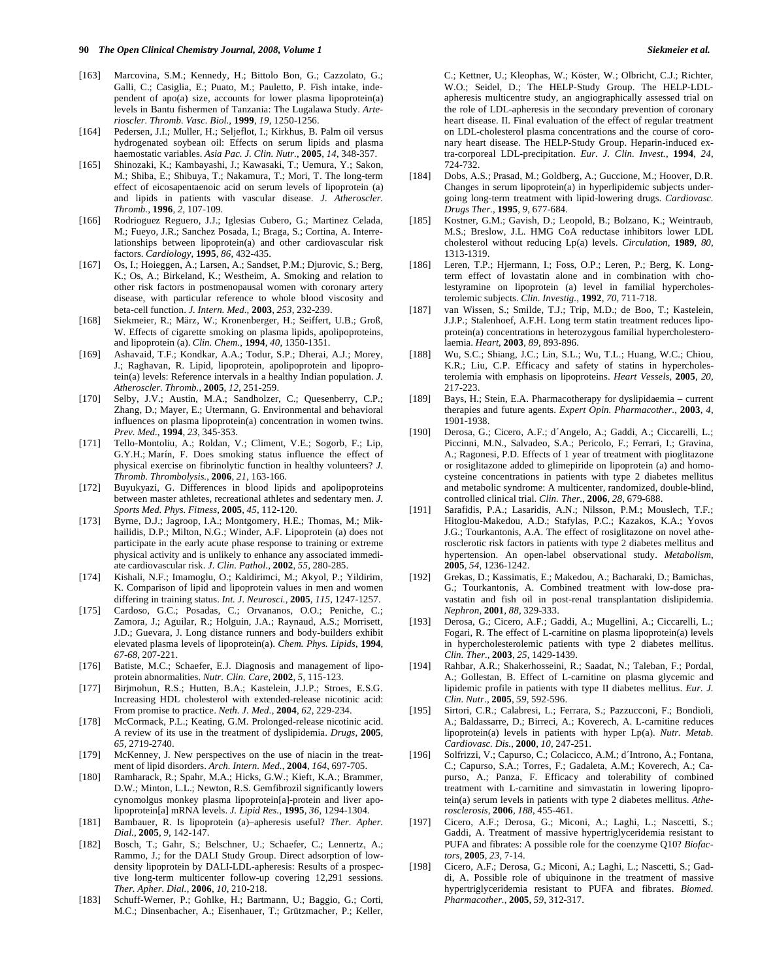- [163] Marcovina, S.M.; Kennedy, H.; Bittolo Bon, G.; Cazzolato, G.; Galli, C.; Casiglia, E.; Puato, M.; Pauletto, P. Fish intake, independent of apo(a) size, accounts for lower plasma lipoprotein(a) levels in Bantu fishermen of Tanzania: The Lugalawa Study. *Arterioscler. Thromb. Vasc. Biol.*, **1999**, *19*, 1250-1256.
- [164] Pedersen, J.I.; Muller, H.; Seljeflot, I.; Kirkhus, B. Palm oil versus hydrogenated soybean oil: Effects on serum lipids and plasma haemostatic variables. *Asia Pac. J. Clin. Nutr.*, **2005**, *14*, 348-357.
- [165] Shinozaki, K.; Kambayashi, J.; Kawasaki, T.; Uemura, Y.; Sakon, M.; Shiba, E.; Shibuya, T.; Nakamura, T.; Mori, T. The long-term effect of eicosapentaenoic acid on serum levels of lipoprotein (a) and lipids in patients with vascular disease. *J. Atheroscler. Thromb.*, **1996**, *2*, 107-109.
- [166] Rodrioguez Reguero, J.J.; Iglesias Cubero, G.; Martinez Celada, M.; Fueyo, J.R.; Sanchez Posada, I.; Braga, S.; Cortina, A. Interrelationships between lipoprotein(a) and other cardiovascular risk factors. *Cardiology*, **1995**, *86*, 432-435.
- [167] Os, I.; Hoieggen, A.; Larsen, A.; Sandset, P.M.; Djurovic, S.; Berg, K.; Os, A.; Birkeland, K.; Westheim, A. Smoking and relation to other risk factors in postmenopausal women with coronary artery disease, with particular reference to whole blood viscosity and beta-cell function. *J. Intern. Med.*, **2003**, *253*, 232-239.
- [168] Siekmeier, R.; März, W.; Kronenberger, H.; Seiffert, U.B.; Groß, W. Effects of cigarette smoking on plasma lipids, apolipoproteins, and lipoprotein (a). *Clin. Chem.*, **1994**, *40*, 1350-1351.
- [169] Ashavaid, T.F.; Kondkar, A.A.; Todur, S.P.; Dherai, A.J.; Morey, J.; Raghavan, R. Lipid, lipoprotein, apolipoprotein and lipoprotein(a) levels: Reference intervals in a healthy Indian population. *J. Atheroscler. Thromb.*, **2005**, *12*, 251-259.
- [170] Selby, J.V.; Austin, M.A.; Sandholzer, C.; Quesenberry, C.P.; Zhang, D.; Mayer, E.; Utermann, G. Environmental and behavioral influences on plasma lipoprotein(a) concentration in women twins. *Prev. Med.*, **1994**, *23*, 345-353.
- [171] Tello-Montoliu, A.; Roldan, V.; Climent, V.E.; Sogorb, F.; Lip, G.Y.H.; Marín, F. Does smoking status influence the effect of physical exercise on fibrinolytic function in healthy volunteers? *J. Thromb. Thrombolysis.*, **2006**, *21*, 163-166.
- [172] Buyukyazi, G. Differences in blood lipids and apolipoproteins between master athletes, recreational athletes and sedentary men. *J. Sports Med. Phys. Fitness*, **2005**, *45*, 112-120.
- [173] Byrne, D.J.; Jagroop, I.A.; Montgomery, H.E.; Thomas, M.; Mikhailidis, D.P.; Milton, N.G.; Winder, A.F. Lipoprotein (a) does not participate in the early acute phase response to training or extreme physical activity and is unlikely to enhance any associated immediate cardiovascular risk. *J. Clin. Pathol.*, **2002**, *55*, 280-285.
- [174] Kishali, N.F.; Imamoglu, O.; Kaldirimci, M.; Akyol, P.; Yildirim, K. Comparison of lipid and lipoprotein values in men and women differing in training status. *Int. J. Neurosci.*, **2005**, *115*, 1247-1257.
- [175] Cardoso, G.C.; Posadas, C.; Orvananos, O.O.; Peniche, C.; Zamora, J.; Aguilar, R.; Holguin, J.A.; Raynaud, A.S.; Morrisett, J.D.; Guevara, J. Long distance runners and body-builders exhibit elevated plasma levels of lipoprotein(a). *Chem. Phys. Lipids*, **1994**, *67-68*, 207-221.
- [176] Batiste, M.C.; Schaefer, E.J. Diagnosis and management of lipoprotein abnormalities. *Nutr. Clin. Care*, **2002**, *5*, 115-123.
- [177] Birjmohun, R.S.; Hutten, B.A.; Kastelein, J.J.P.; Stroes, E.S.G. Increasing HDL cholesterol with extended-release nicotinic acid: From promise to practice. *Neth. J. Med.*, **2004**, *62*, 229-234.
- [178] McCormack, P.L.; Keating, G.M. Prolonged-release nicotinic acid. A review of its use in the treatment of dyslipidemia. *Drugs*, **2005**, *65*, 2719-2740.
- [179] McKenney, J. New perspectives on the use of niacin in the treatment of lipid disorders. *Arch. Intern. Med.*, **2004**, *164*, 697-705.
- [180] Ramharack, R.; Spahr, M.A.; Hicks, G.W.; Kieft, K.A.; Brammer, D.W.; Minton, L.L.; Newton, R.S. Gemfibrozil significantly lowers cynomolgus monkey plasma lipoprotein[a]-protein and liver apolipoprotein[a] mRNA levels. *J. Lipid Res.*, **1995**, *36*, 1294-1304.
- [181] Bambauer, R. Is lipoprotein (a)–apheresis useful? *Ther. Apher. Dial.*, **2005**, *9*, 142-147.
- [182] Bosch, T.; Gahr, S.; Belschner, U.; Schaefer, C.; Lennertz, A.; Rammo, J.; for the DALI Study Group. Direct adsorption of lowdensity lipoprotein by DALI-LDL-apheresis: Results of a prospective long-term multicenter follow-up covering 12,291 sessions. *Ther. Apher. Dial.*, **2006**, *10*, 210-218.
- [183] Schuff-Werner, P.; Gohlke, H.; Bartmann, U.; Baggio, G.; Corti, M.C.; Dinsenbacher, A.; Eisenhauer, T.; Grützmacher, P.; Keller,

C.; Kettner, U.; Kleophas, W.; Köster, W.; Olbricht, C.J.; Richter, W.O.; Seidel, D.; The HELP-Study Group. The HELP-LDLapheresis multicentre study, an angiographically assessed trial on the role of LDL-apheresis in the secondary prevention of coronary heart disease. II. Final evaluation of the effect of regular treatment on LDL-cholesterol plasma concentrations and the course of coronary heart disease. The HELP-Study Group. Heparin-induced extra-corporeal LDL-precipitation. *Eur. J. Clin. Invest.*, **1994**, *24*, 724-732.

- [184] Dobs, A.S.; Prasad, M.; Goldberg, A.; Guccione, M.; Hoover, D.R. Changes in serum lipoprotein(a) in hyperlipidemic subjects undergoing long-term treatment with lipid-lowering drugs. *Cardiovasc. Drugs Ther.*, **1995**, *9*, 677-684.
- [185] Kostner, G.M.; Gavish, D.; Leopold, B.; Bolzano, K.; Weintraub, M.S.; Breslow, J.L. HMG CoA reductase inhibitors lower LDL cholesterol without reducing Lp(a) levels. *Circulation*, **1989**, *80*, 1313-1319.
- [186] Leren, T.P.; Hjermann, I.; Foss, O.P.; Leren, P.; Berg, K. Longterm effect of lovastatin alone and in combination with cholestyramine on lipoprotein (a) level in familial hypercholesterolemic subjects. *Clin. Investig.*, **1992**, *70*, 711-718.
- [187] van Wissen, S.; Smilde, T.J.; Trip, M.D.; de Boo, T.; Kastelein, J.J.P.; Stalenhoef, A.F.H. Long term statin treatment reduces lipoprotein(a) concentrations in heterozygous familial hypercholesterolaemia. *Heart*, **2003**, *89*, 893-896.
- [188] Wu, S.C.; Shiang, J.C.; Lin, S.L.; Wu, T.L.; Huang, W.C.; Chiou, K.R.; Liu, C.P. Efficacy and safety of statins in hypercholesterolemia with emphasis on lipoproteins. *Heart Vessels*, **2005**, *20*, 217-223.
- [189] Bays, H.; Stein, E.A. Pharmacotherapy for dyslipidaemia current therapies and future agents. *Expert Opin. Pharmacother.*, **2003**, *4*, 1901-1938.
- [190] Derosa, G.; Cicero, A.F.; d´Angelo, A.; Gaddi, A.; Ciccarelli, L.; Piccinni, M.N., Salvadeo, S.A.; Pericolo, F.; Ferrari, I.; Gravina, A.; Ragonesi, P.D. Effects of 1 year of treatment with pioglitazone or rosiglitazone added to glimepiride on lipoprotein (a) and homocysteine concentrations in patients with type 2 diabetes mellitus and metabolic syndrome: A multicenter, randomized, double-blind, controlled clinical trial. *Clin. Ther.*, **2006**, *28*, 679-688.
- [191] Sarafidis, P.A.; Lasaridis, A.N.; Nilsson, P.M.; Mouslech, T.F.; Hitoglou-Makedou, A.D.; Stafylas, P.C.; Kazakos, K.A.; Yovos J.G.; Tourkantonis, A.A. The effect of rosiglitazone on novel atherosclerotic risk factors in patients with type 2 diabetes mellitus and hypertension. An open-label observational study. *Metabolism*, **2005**, *54*, 1236-1242.
- [192] Grekas, D.; Kassimatis, E.; Makedou, A.; Bacharaki, D.; Bamichas, G.; Tourkantonis, A. Combined treatment with low-dose pravastatin and fish oil in post-renal transplantation dislipidemia. *Nephron*, **2001**, *88*, 329-333.
- [193] Derosa, G.; Cicero, A.F.; Gaddi, A.; Mugellini, A.; Ciccarelli, L.; Fogari, R. The effect of L-carnitine on plasma lipoprotein(a) levels in hypercholesterolemic patients with type 2 diabetes mellitus. *Clin. Ther.*, **2003**, *25*, 1429-1439.
- [194] Rahbar, A.R.; Shakerhosseini, R.; Saadat, N.; Taleban, F.; Pordal, A.; Gollestan, B. Effect of L-carnitine on plasma glycemic and lipidemic profile in patients with type II diabetes mellitus. *Eur. J. Clin. Nutr.*, **2005**, *59*, 592-596.
- [195] Sirtori, C.R.; Calabresi, L.; Ferrara, S.; Pazzucconi, F.; Bondioli, A.; Baldassarre, D.; Birreci, A.; Koverech, A. L-carnitine reduces lipoprotein(a) levels in patients with hyper Lp(a). *Nutr. Metab. Cardiovasc. Dis.*, **2000**, *10*, 247-251.
- [196] Solfrizzi, V.; Capurso, C.; Colacicco, A.M.; d´Introno, A.; Fontana, C.; Capurso, S.A.; Torres, F.; Gadaleta, A.M.; Koverech, A.; Capurso, A.; Panza, F. Efficacy and tolerability of combined treatment with L-carnitine and simvastatin in lowering lipoprotein(a) serum levels in patients with type 2 diabetes mellitus. *Atherosclerosis*, **2006**, *188*, 455-461.
- [197] Cicero, A.F.; Derosa, G.; Miconi, A.; Laghi, L.; Nascetti, S.; Gaddi, A. Treatment of massive hypertriglyceridemia resistant to PUFA and fibrates: A possible role for the coenzyme Q10? *Biofactors*, **2005**, *23*, 7-14.
- [198] Cicero, A.F.; Derosa, G.; Miconi, A.; Laghi, L.; Nascetti, S.; Gaddi, A. Possible role of ubiquinone in the treatment of massive hypertriglyceridemia resistant to PUFA and fibrates. *Biomed. Pharmacother.*, **2005**, *59*, 312-317.